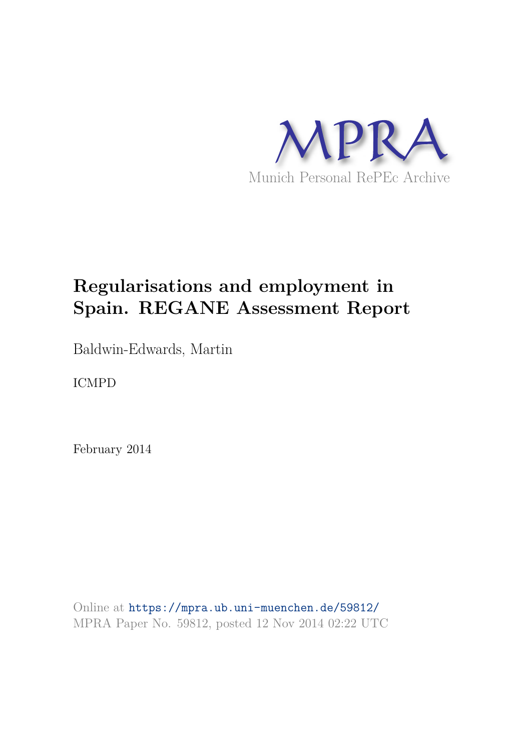

# **Regularisations and employment in Spain. REGANE Assessment Report**

Baldwin-Edwards, Martin

ICMPD

February 2014

Online at https://mpra.ub.uni-muenchen.de/59812/ MPRA Paper No. 59812, posted 12 Nov 2014 02:22 UTC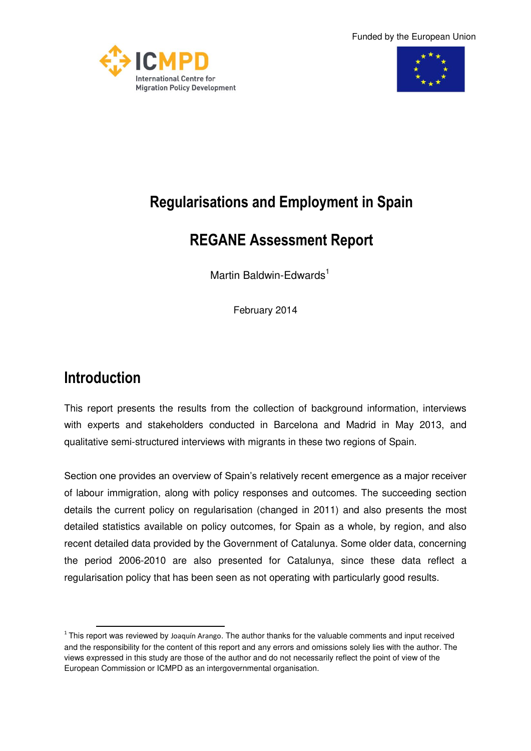Funded by the European Union





# **Regularisations and Employment in Spain**

# **REGANE Assessment Report**

Martin Baldwin-Edwards<sup>1</sup>

February 2014

# **Introduction**

This report presents the results from the collection of background information, interviews with experts and stakeholders conducted in Barcelona and Madrid in May 2013, and qualitative semi-structured interviews with migrants in these two regions of Spain.

Section one provides an overview of Spain's relatively recent emergence as a major receiver of labour immigration, along with policy responses and outcomes. The succeeding section details the current policy on regularisation (changed in 2011) and also presents the most detailed statistics available on policy outcomes, for Spain as a whole, by region, and also recent detailed data provided by the Government of Catalunya. Some older data, concerning the period 2006-2010 are also presented for Catalunya, since these data reflect a regularisation policy that has been seen as not operating with particularly good results.

<sup>&</sup>lt;u>.</u>  $1$  This report was reviewed by Joaquín Arango. The author thanks for the valuable comments and input received and the responsibility for the content of this report and any errors and omissions solely lies with the author. The views expressed in this study are those of the author and do not necessarily reflect the point of view of the European Commission or ICMPD as an intergovernmental organisation.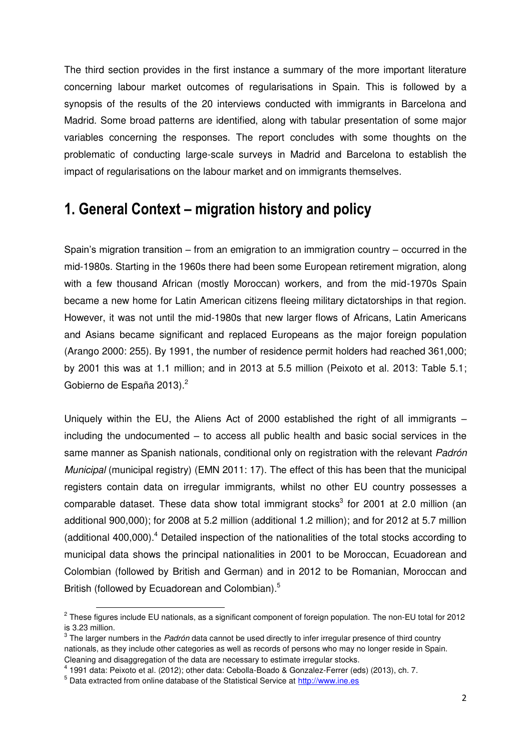The third section provides in the first instance a summary of the more important literature concerning labour market outcomes of regularisations in Spain. This is followed by a synopsis of the results of the 20 interviews conducted with immigrants in Barcelona and Madrid. Some broad patterns are identified, along with tabular presentation of some major variables concerning the responses. The report concludes with some thoughts on the problematic of conducting large-scale surveys in Madrid and Barcelona to establish the impact of regularisations on the labour market and on immigrants themselves.

### **1. General Context – migration history and policy**

Spain's migration transition – from an emigration to an immigration country – occurred in the mid-1980s. Starting in the 1960s there had been some European retirement migration, along with a few thousand African (mostly Moroccan) workers, and from the mid-1970s Spain became a new home for Latin American citizens fleeing military dictatorships in that region. However, it was not until the mid-1980s that new larger flows of Africans, Latin Americans and Asians became significant and replaced Europeans as the major foreign population (Arango 2000: 255). By 1991, the number of residence permit holders had reached 361,000; by 2001 this was at 1.1 million; and in 2013 at 5.5 million (Peixoto et al. 2013: Table 5.1; Gobierno de España 2013).<sup>2</sup>

Uniquely within the EU, the Aliens Act of 2000 established the right of all immigrants – including the undocumented – to access all public health and basic social services in the same manner as Spanish nationals, conditional only on registration with the relevant *Padrón Municipal* (municipal registry) (EMN 2011: 17). The effect of this has been that the municipal registers contain data on irregular immigrants, whilst no other EU country possesses a comparable dataset. These data show total immigrant stocks<sup>3</sup> for 2001 at 2.0 million (an additional 900,000); for 2008 at 5.2 million (additional 1.2 million); and for 2012 at 5.7 million (additional 400,000).<sup>4</sup> Detailed inspection of the nationalities of the total stocks according to municipal data shows the principal nationalities in 2001 to be Moroccan, Ecuadorean and Colombian (followed by British and German) and in 2012 to be Romanian, Moroccan and British (followed by Ecuadorean and Colombian).<sup>5</sup>

**EXECTS 2012**<br><sup>2</sup> These figures include EU nationals, as a significant component of foreign population. The non-EU total for 2012 is 3.23 million.

<sup>3</sup> The larger numbers in the *Padrón* data cannot be used directly to infer irregular presence of third country nationals, as they include other categories as well as records of persons who may no longer reside in Spain. Cleaning and disaggregation of the data are necessary to estimate irregular stocks.

 $^4$  1991 data: Peixoto et al. (2012); other data: Cebolla-Boado & Gonzalez-Ferrer (eds) (2013), ch. 7.

<sup>&</sup>lt;sup>5</sup> Data extracted from online database of the Statistical Service at **http://www.ine.es**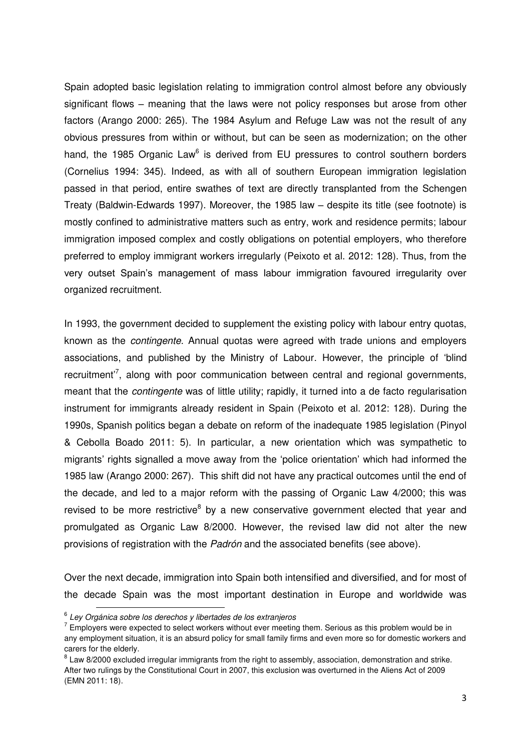Spain adopted basic legislation relating to immigration control almost before any obviously significant flows – meaning that the laws were not policy responses but arose from other factors (Arango 2000: 265). The 1984 Asylum and Refuge Law was not the result of any obvious pressures from within or without, but can be seen as modernization; on the other hand, the 1985 Organic Law $<sup>6</sup>$  is derived from EU pressures to control southern borders</sup> (Cornelius 1994: 345). Indeed, as with all of southern European immigration legislation passed in that period, entire swathes of text are directly transplanted from the Schengen Treaty (Baldwin-Edwards 1997). Moreover, the 1985 law – despite its title (see footnote) is mostly confined to administrative matters such as entry, work and residence permits; labour immigration imposed complex and costly obligations on potential employers, who therefore preferred to employ immigrant workers irregularly (Peixoto et al. 2012: 128). Thus, from the very outset Spain's management of mass labour immigration favoured irregularity over organized recruitment.

In 1993, the government decided to supplement the existing policy with labour entry quotas, known as the *contingente*. Annual quotas were agreed with trade unions and employers associations, and published by the Ministry of Labour. However, the principle of 'blind recruitment<sup>7</sup>, along with poor communication between central and regional governments, meant that the *contingente* was of little utility; rapidly, it turned into a de facto regularisation instrument for immigrants already resident in Spain (Peixoto et al. 2012: 128). During the 1990s, Spanish politics began a debate on reform of the inadequate 1985 legislation (Pinyol & Cebolla Boado 2011: 5). In particular, a new orientation which was sympathetic to migrants' rights signalled a move away from the 'police orientation' which had informed the 1985 law (Arango 2000: 267). This shift did not have any practical outcomes until the end of the decade, and led to a major reform with the passing of Organic Law 4/2000; this was revised to be more restrictive<sup>8</sup> by a new conservative government elected that year and promulgated as Organic Law 8/2000. However, the revised law did not alter the new provisions of registration with the *Padrón* and the associated benefits (see above).

Over the next decade, immigration into Spain both intensified and diversified, and for most of the decade Spain was the most important destination in Europe and worldwide was

<sup>6</sup> *Ley Orgánica sobre los derechos y libertades de los extranjeros* 

 $7$  Employers were expected to select workers without ever meeting them. Serious as this problem would be in any employment situation, it is an absurd policy for small family firms and even more so for domestic workers and carers for the elderly.

 $8$  Law 8/2000 excluded irregular immigrants from the right to assembly, association, demonstration and strike. After two rulings by the Constitutional Court in 2007, this exclusion was overturned in the Aliens Act of 2009 (EMN 2011: 18).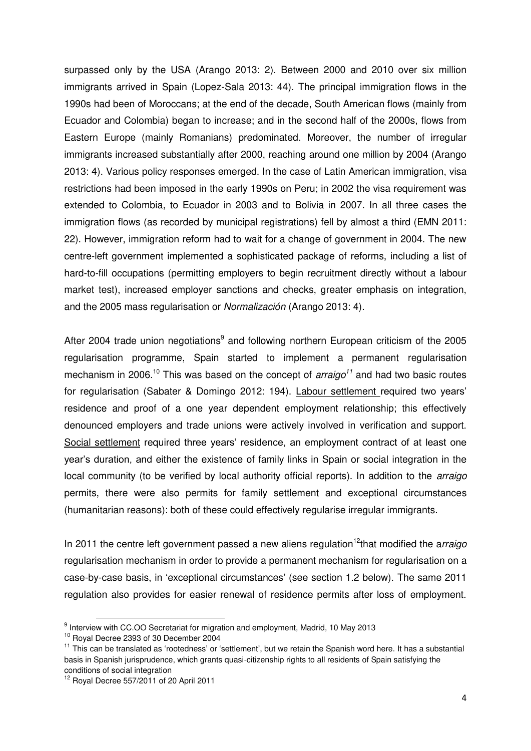surpassed only by the USA (Arango 2013: 2). Between 2000 and 2010 over six million immigrants arrived in Spain (Lopez-Sala 2013: 44). The principal immigration flows in the 1990s had been of Moroccans; at the end of the decade, South American flows (mainly from Ecuador and Colombia) began to increase; and in the second half of the 2000s, flows from Eastern Europe (mainly Romanians) predominated. Moreover, the number of irregular immigrants increased substantially after 2000, reaching around one million by 2004 (Arango 2013: 4). Various policy responses emerged. In the case of Latin American immigration, visa restrictions had been imposed in the early 1990s on Peru; in 2002 the visa requirement was extended to Colombia, to Ecuador in 2003 and to Bolivia in 2007. In all three cases the immigration flows (as recorded by municipal registrations) fell by almost a third (EMN 2011: 22). However, immigration reform had to wait for a change of government in 2004. The new centre-left government implemented a sophisticated package of reforms, including a list of hard-to-fill occupations (permitting employers to begin recruitment directly without a labour market test), increased employer sanctions and checks, greater emphasis on integration, and the 2005 mass regularisation or *Normalización* (Arango 2013: 4).

After 2004 trade union negotiations<sup>9</sup> and following northern European criticism of the 2005 regularisation programme, Spain started to implement a permanent regularisation mechanism in 2006.<sup>10</sup> This was based on the concept of *arraigo*<sup>11</sup> and had two basic routes for regularisation (Sabater & Domingo 2012: 194). Labour settlement required two years' residence and proof of a one year dependent employment relationship; this effectively denounced employers and trade unions were actively involved in verification and support. Social settlement required three years' residence, an employment contract of at least one year's duration, and either the existence of family links in Spain or social integration in the local community (to be verified by local authority official reports). In addition to the *arraigo* permits, there were also permits for family settlement and exceptional circumstances (humanitarian reasons): both of these could effectively regularise irregular immigrants.

In 2011 the centre left government passed a new aliens regulation<sup>12</sup>that modified the arraigo regularisation mechanism in order to provide a permanent mechanism for regularisation on a case-by-case basis, in 'exceptional circumstances' (see section 1.2 below). The same 2011 regulation also provides for easier renewal of residence permits after loss of employment.

<sup>9&</sup>lt;br>
9 Interview with CC.OO Secretariat for migration and employment, Madrid, 10 May 2013

<sup>10</sup> Royal Decree 2393 of 30 December 2004

 $11$  This can be translated as 'rootedness' or 'settlement', but we retain the Spanish word here. It has a substantial basis in Spanish jurisprudence, which grants quasi-citizenship rights to all residents of Spain satisfying the conditions of social integration

 $12$  Royal Decree 557/2011 of 20 April 2011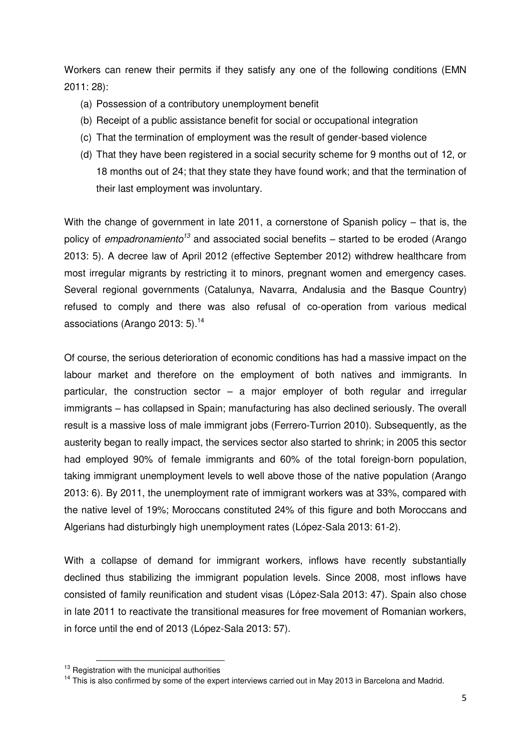Workers can renew their permits if they satisfy any one of the following conditions (EMN 2011: 28):

- (a) Possession of a contributory unemployment benefit
- (b) Receipt of a public assistance benefit for social or occupational integration
- (c) That the termination of employment was the result of gender-based violence
- (d) That they have been registered in a social security scheme for 9 months out of 12, or 18 months out of 24; that they state they have found work; and that the termination of their last employment was involuntary.

With the change of government in late 2011, a cornerstone of Spanish policy – that is, the policy of *empadronamiento<sup>13</sup>* and associated social benefits – started to be eroded (Arango 2013: 5). A decree law of April 2012 (effective September 2012) withdrew healthcare from most irregular migrants by restricting it to minors, pregnant women and emergency cases. Several regional governments (Catalunya, Navarra, Andalusia and the Basque Country) refused to comply and there was also refusal of co-operation from various medical associations (Arango 2013: 5).<sup>14</sup>

Of course, the serious deterioration of economic conditions has had a massive impact on the labour market and therefore on the employment of both natives and immigrants. In particular, the construction sector – a major employer of both regular and irregular immigrants – has collapsed in Spain; manufacturing has also declined seriously. The overall result is a massive loss of male immigrant jobs (Ferrero-Turrion 2010). Subsequently, as the austerity began to really impact, the services sector also started to shrink; in 2005 this sector had employed 90% of female immigrants and 60% of the total foreign-born population, taking immigrant unemployment levels to well above those of the native population (Arango 2013: 6). By 2011, the unemployment rate of immigrant workers was at 33%, compared with the native level of 19%; Moroccans constituted 24% of this figure and both Moroccans and Algerians had disturbingly high unemployment rates (López-Sala 2013: 61-2).

With a collapse of demand for immigrant workers, inflows have recently substantially declined thus stabilizing the immigrant population levels. Since 2008, most inflows have consisted of family reunification and student visas (López-Sala 2013: 47). Spain also chose in late 2011 to reactivate the transitional measures for free movement of Romanian workers, in force until the end of 2013 (López-Sala 2013: 57).

 $13$  Registration with the municipal authorities

<sup>&</sup>lt;sup>14</sup> This is also confirmed by some of the expert interviews carried out in May 2013 in Barcelona and Madrid.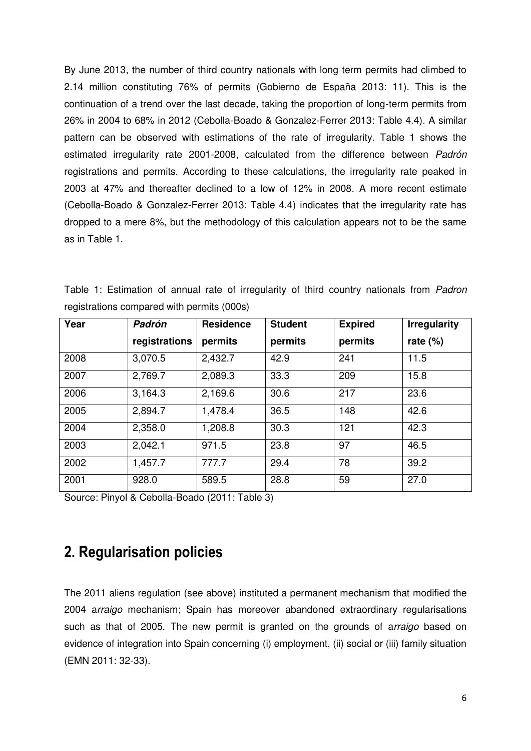By June 2013, the number of third country nationals with long term permits had climbed to 2.14 million constituting 76% of permits (Gobierno de España 2013: 11). This is the continuation of a trend over the last decade, taking the proportion of long-term permits from 26% in 2004 to 68% in 2012 (Cebolla-Boado & Gonzalez-Ferrer 2013: Table 4.4). A similar pattern can be observed with estimations of the rate of irregularity. Table 1 shows the estimated irregularity rate 2001-2008, calculated from the difference between *Padrón* registrations and permits. According to these calculations, the irregularity rate peaked in 2003 at 47% and thereafter declined to a low of 12% in 2008. A more recent estimate (Cebolla-Boado & Gonzalez-Ferrer 2013: Table 4.4) indicates that the irregularity rate has dropped to a mere 8%, but the methodology of this calculation appears not to be the same as in Table 1.

|  |                                            |  |  | Table 1: Estimation of annual rate of irregularity of third country nationals from <i>Padron</i> |  |  |  |
|--|--------------------------------------------|--|--|--------------------------------------------------------------------------------------------------|--|--|--|
|  | registrations compared with permits (000s) |  |  |                                                                                                  |  |  |  |

| Year<br>Padrón |               | <b>Residence</b> | <b>Student</b> | <b>Expired</b> | <b>Irregularity</b> |  |  |  |
|----------------|---------------|------------------|----------------|----------------|---------------------|--|--|--|
|                | registrations | permits          | permits        | permits        | rate $(\%)$         |  |  |  |
| 2008           | 3,070.5       | 2,432.7          | 42.9           | 241            | 11.5                |  |  |  |
| 2007           | 2,769.7       | 2,089.3          | 33.3           | 209            | 15.8                |  |  |  |
| 2006           | 3,164.3       | 2,169.6          | 30.6           | 217            | 23.6                |  |  |  |
| 2005           | 2,894.7       | 1,478.4          | 36.5           | 148            | 42.6                |  |  |  |
| 2004           | 2,358.0       | 1,208.8          | 30.3           | 121            | 42.3                |  |  |  |
| 2003           | 2,042.1       | 971.5            | 23.8           | 97             | 46.5                |  |  |  |
| 2002           | 1,457.7       | 777.7            | 29.4           | 78             | 39.2                |  |  |  |
| 2001           | 928.0         | 589.5            | 28.8           | 59             | 27.0                |  |  |  |

Source: Pinyol & Cebolla-Boado (2011: Table 3)

## **2. Regularisation policies**

The 2011 aliens regulation (see above) instituted a permanent mechanism that modified the 2004 a*rraigo* mechanism; Spain has moreover abandoned extraordinary regularisations such as that of 2005. The new permit is granted on the grounds of a*rraigo* based on evidence of integration into Spain concerning (i) employment, (ii) social or (iii) family situation (EMN 2011: 32-33).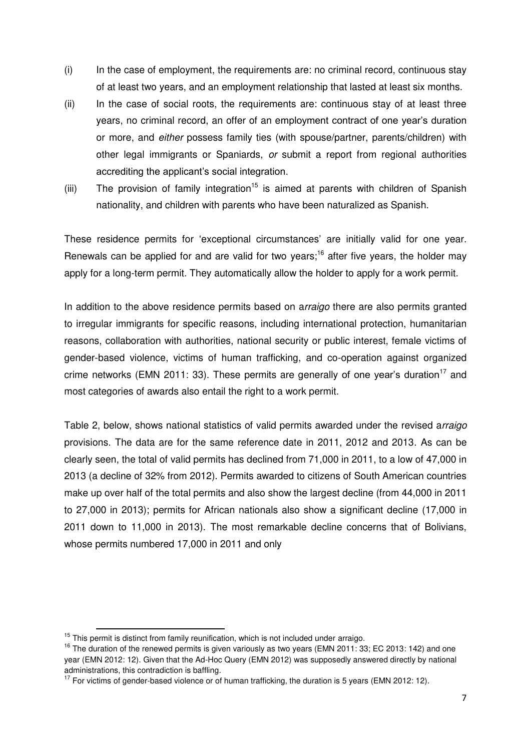- (i) In the case of employment, the requirements are: no criminal record, continuous stay of at least two years, and an employment relationship that lasted at least six months.
- (ii) In the case of social roots, the requirements are: continuous stay of at least three years, no criminal record, an offer of an employment contract of one year's duration or more, and *either* possess family ties (with spouse/partner, parents/children) with other legal immigrants or Spaniards, *or* submit a report from regional authorities accrediting the applicant's social integration.
- (iii) The provision of family integration<sup>15</sup> is aimed at parents with children of Spanish nationality, and children with parents who have been naturalized as Spanish.

These residence permits for 'exceptional circumstances' are initially valid for one year. Renewals can be applied for and are valid for two years;<sup>16</sup> after five years, the holder may apply for a long-term permit. They automatically allow the holder to apply for a work permit.

In addition to the above residence permits based on a*rraigo* there are also permits granted to irregular immigrants for specific reasons, including international protection, humanitarian reasons, collaboration with authorities, national security or public interest, female victims of gender-based violence, victims of human trafficking, and co-operation against organized crime networks (EMN 2011: 33). These permits are generally of one year's duration<sup>17</sup> and most categories of awards also entail the right to a work permit.

Table 2, below, shows national statistics of valid permits awarded under the revised a*rraigo* provisions. The data are for the same reference date in 2011, 2012 and 2013. As can be clearly seen, the total of valid permits has declined from 71,000 in 2011, to a low of 47,000 in 2013 (a decline of 32% from 2012). Permits awarded to citizens of South American countries make up over half of the total permits and also show the largest decline (from 44,000 in 2011 to 27,000 in 2013); permits for African nationals also show a significant decline (17,000 in 2011 down to 11,000 in 2013). The most remarkable decline concerns that of Bolivians, whose permits numbered 17,000 in 2011 and only

-

 $15$  This permit is distinct from family reunification, which is not included under arraigo.

 $16$  The duration of the renewed permits is given variously as two years (EMN 2011: 33; EC 2013: 142) and one year (EMN 2012: 12). Given that the Ad-Hoc Query (EMN 2012) was supposedly answered directly by national administrations, this contradiction is baffling.

 $17$  For victims of gender-based violence or of human trafficking, the duration is 5 years (EMN 2012: 12).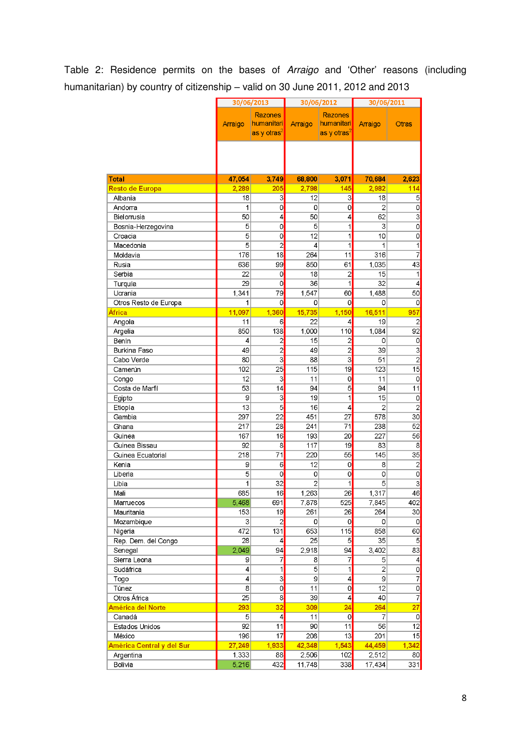#### Table 2: Residence permits on the bases of *Arraigo* and 'Other' reasons (including humanitarian) by country of citizenship – valid on 30 June 2011, 2012 and 2013

|                                 |                     | 30/06/2013                                       |                   | 30/06/2012                                              | 30/06/2011      |                                           |  |  |
|---------------------------------|---------------------|--------------------------------------------------|-------------------|---------------------------------------------------------|-----------------|-------------------------------------------|--|--|
|                                 | Arraigo             | Razones<br>humanitari<br>as y otras <sup>2</sup> | Arraigo           | <b>Razones</b><br>humanitari<br>as y otras <sup>2</sup> | Arraigo         | Otras                                     |  |  |
|                                 |                     |                                                  |                   |                                                         |                 |                                           |  |  |
| <b>Total</b><br>Resto de Europa | 47,054<br>2.289     | 3,749<br>205                                     | 68,800<br>2,798   | 3,071<br>145                                            | 70,684<br>2.982 | 2,623<br>114                              |  |  |
| Albania                         | 18                  | 3                                                | 12                | 3                                                       | 18              | 5                                         |  |  |
| Andorra                         | 1                   | 0                                                | 0                 | 0                                                       | $\overline{2}$  | $\circ$                                   |  |  |
| Bielorrusia                     | 50                  | 4                                                | 50                | 4                                                       | 62              | $\overline{3}$                            |  |  |
| Bosnia-Herzegovina              | 5                   | 0                                                | 5                 | 1                                                       | 3               | 0                                         |  |  |
| Croacia                         | 5                   | 0                                                | 12                | 1                                                       | 10              | 0                                         |  |  |
| Macedonia                       | 5                   | $\overline{c}$                                   | 4                 | 1                                                       | 1               | 1                                         |  |  |
| Moldavia                        | 176                 | 18                                               | 264               | 11                                                      | 316             | 7                                         |  |  |
| Rusia                           | 636                 | 99                                               | 850               | 61                                                      | 1,035           | 43                                        |  |  |
| Serbia                          | 22                  | 0                                                | 18                | $\overline{2}$                                          | 15              | 1                                         |  |  |
| Turquía                         | 29                  | 0                                                | 36                | 1                                                       | 32              | $\overline{4}$                            |  |  |
| Ucrania                         | 1,341               | 79                                               | 1,547             | 60                                                      | 1,488           | 50                                        |  |  |
| Otros Resto de Europa           | 1                   | 0                                                | 0                 | 0                                                       | 0               | 0                                         |  |  |
| África                          | 11,097              | 1,360                                            | 15,735            | 1,150                                                   | 16,511          | 957                                       |  |  |
| Angola                          | 11                  | 6                                                | 22                | 4                                                       | 19              | 2                                         |  |  |
| Argelia                         | 850                 | 138                                              | 1,000             | 110                                                     | 1,084           | 92                                        |  |  |
| Benín                           | 4                   | $\overline{\mathbf{c}}$                          | 15                | $\overline{a}$                                          | 0               | 0                                         |  |  |
| Burkina Faso                    | 49                  | $\overline{c}$                                   | 49                | $\overline{c}$                                          | 39              | $\overline{3}$                            |  |  |
| Cabo Verde                      | 80                  | $\overline{3}$                                   | 88                | 3                                                       | 51              | $\overline{2}$                            |  |  |
| Camerún                         | 102                 | 25                                               | 115               | 19                                                      | 123             | 15                                        |  |  |
| Congo                           | 12                  | 3                                                | 11                | 0                                                       | 11              | 0                                         |  |  |
| Costa de Marfil                 | $\overline{53}$     | 14                                               | 94                | 5                                                       | 94              | 11                                        |  |  |
| Egipto                          | 9                   | $\overline{3}$                                   | 19                | 1                                                       | 15              | 0                                         |  |  |
| Etiopía                         | 13                  | 5                                                | 16                | 4                                                       | 2               | $\overline{c}$                            |  |  |
| Gambia                          | 297                 | 22                                               | 451               | 27                                                      | 578             | 30                                        |  |  |
| Ghana                           | 217                 | 28                                               | 241               | 71                                                      | 238             | 52                                        |  |  |
| Guinea                          | 167                 | 16                                               | 193               | 20                                                      | 227             | 56                                        |  |  |
| Guinea Bissau                   | 92                  | 8                                                | 117               | 19                                                      | 83              | 8                                         |  |  |
| Guinea Ecuatorial<br>Kenia      | 218                 | 71                                               | 220               | 55                                                      | 145             | 35                                        |  |  |
| Liberia                         | 9<br>$\overline{5}$ | 6<br>0                                           | 12<br>$\mathbf 0$ | 0<br>$\overline{0}$                                     | 8<br>0          | $\overline{\mathbf{c}}$<br>$\overline{0}$ |  |  |
| Libia                           | 1                   | $\overline{32}$                                  | $\overline{2}$    | 1                                                       | 5               | $\overline{3}$                            |  |  |
| Mali                            | 685                 | 16                                               | 1,263             | 26                                                      | 1,317           | 46                                        |  |  |
| Marruecos                       | 5,468               | 691                                              | 7,878             | 525                                                     | 7,845           | 402                                       |  |  |
| Mauritania                      | 153                 | 19                                               | 261               | 26                                                      | 264             | 30                                        |  |  |
| Mozambique                      | 3                   | $\overline{2}$                                   | 0                 | 0                                                       | 0               | $\circ$                                   |  |  |
| Nigeria                         | 472                 | 131                                              | 653               | 115                                                     | 858             | 60                                        |  |  |
| Rep. Dem. del Congo             | 28                  | $\vert$                                          | 25                | $\overline{5}$                                          | 35              | 5                                         |  |  |
| Senegal                         | 2,049               | 94                                               | 2,918             | 94                                                      | 3,402           | 83                                        |  |  |
| Sierra Leona                    | 9                   | 7                                                | 8                 | 7                                                       | 5               | $\vert$                                   |  |  |
| Sudáfrica                       | 4                   | 1                                                | 5                 | 1                                                       | $\overline{2}$  | $\circ$                                   |  |  |
| Togo                            | 4                   | $\overline{3}$                                   | 9                 | 4                                                       | 9               | 7                                         |  |  |
| Túnez                           | 8                   | $\overline{\mathbf{0}}$                          | 11                | $\circ$                                                 | 12              | $\overline{0}$                            |  |  |
| Otros África                    | 25                  | $\overline{8}$                                   | 39                | 4                                                       | 40              | $\overline{7}$                            |  |  |
| América del Norte               | 293                 | 32                                               | 309               | 24                                                      | 264             | 27                                        |  |  |
| Canadá                          | 5                   | 4                                                | 11                | 0                                                       | 7               | 0                                         |  |  |
| Estados Unidos                  | 92                  | 11                                               | 90                | 11                                                      | 56              | 12                                        |  |  |
| México                          | 196                 | 17                                               | 208               | 13                                                      | 201             | 15                                        |  |  |
| América Central y del Sur       | 27,249              | 1,933                                            | 42,348            | 1,543                                                   | 44,459          | 1,342                                     |  |  |
| Argentina                       | 1,333               | 88                                               | 2,506             | 102                                                     | 2,512           | 80                                        |  |  |
| Bolivia                         | 5,216               | 432                                              | 11,748            | 338                                                     | 17,434          | 331                                       |  |  |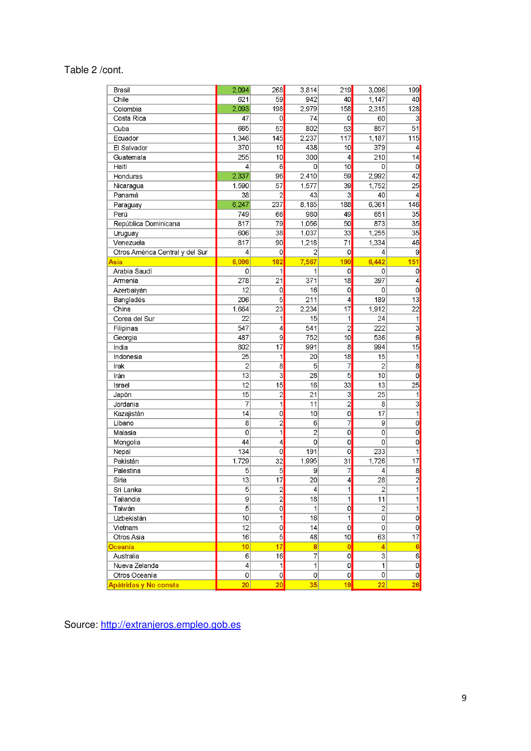#### Table 2 /cont.

| Brasil                          | 2,094           | 268                     | 3,814           | 219            | 3,096           | 199                     |
|---------------------------------|-----------------|-------------------------|-----------------|----------------|-----------------|-------------------------|
| Chile                           | 621             | 59                      | 942             | 40             | 1,147           | 40                      |
| Colombia                        | 2.093           | 198                     | 2,979           | 158            | 2,315           | 128                     |
| Costa Rica                      | 47              | 0                       | 74              | $\circ$        | 60              | 3                       |
| Cuba                            | 665             | 52                      | 802             | 53             | 857             | 51                      |
| Ecuador                         | 1,346           | 145                     | 2,237           | 117            | 1,187           | 115                     |
| El Salvador                     | 370             | 10                      | 438             | 10             | 379             | 4                       |
| Guatemala                       | 255             | 10                      | 300             | 4              | 210             | 14                      |
| Haití                           | 4               | 6                       | 0               | 10             | 0               | $\mathbf 0$             |
| Honduras                        | 2,337           | 96                      | 2,410           | 59             | 2,992           | 42                      |
| Nicaragua                       | 1,590           | 57                      | 1,577           | 39             | 1,752           | 25                      |
| Panamá                          | 38              | $\overline{2}$          | 43              | 3              | 40              | $\overline{4}$          |
| Paraguay                        | 6,247           | 237                     | 8,185           | 188            | 6,361           | 146                     |
| Perú                            | 749             | 66                      | 980             | 49             | 651             | 35                      |
| República Dominicana            | 817             | 79                      | 1,056           | 50             | 873             | 35                      |
| Uruguay                         | 606             | 38                      | 1,037           | 33             | 1,255           | 35                      |
| Venezuela                       | 817             | 90                      | 1,218           | 71             | 1,334           | 46                      |
| Otros América Central y del Sur | 4               | $\overline{O}$          | $\overline{2}$  | $\overline{O}$ | 4               | 9                       |
| Asia                            | 6,096           | 182                     | 7,567           | 190            | 6,442           | 151                     |
| Arabia Saudí                    | 0               | 1                       | 1               | 0              | 0               |                         |
|                                 |                 | 21                      | 371             | 18             | 397             | 0<br>$\overline{4}$     |
| Armenia                         | 278<br>12       | 0                       | 16              | $\mathbf 0$    |                 | $\overline{0}$          |
| Azerbaiyán                      |                 |                         |                 |                | 0               |                         |
| Bangladés                       | 206             | 5                       | 211             | 4              | 189             | 13                      |
| China                           | 1,664           | 23                      | 2,234           | 17             | 1,912           | $\overline{22}$         |
| Corea del Sur                   | 22              | 1                       | 15              | 1              | $\overline{24}$ | $\mathbf{1}$            |
| Filipinas                       | 547             | 4                       | 541             | $\overline{2}$ | 222             | $\overline{3}$          |
| Georgia                         | 487             | 9                       | 752             | 10             | 536             | 6                       |
| India                           | 802             | 17                      | 991             | 8              | 994             | 15                      |
| Indonesia                       | 25              | 1                       | 20              | 18             | 15              | 1                       |
| Irak                            | $\overline{2}$  | $\overline{8}$          | 5               | 7              | $\overline{c}$  | $\overline{8}$          |
| Irán                            | 13              | $\overline{\mathbf{3}}$ | 28              | $\overline{5}$ | 10              | $\circ$                 |
| Israel                          | 12              | 15                      | 16              | 33             | 13              | 25                      |
| Japón                           | 15              | $\overline{2}$          | 21              | 3              | 25              | $\mathbf{1}$            |
| Jordania                        | 7               | 1                       | 11              | $\overline{2}$ | 8               | $\overline{3}$          |
| Kazajistán                      | 14              | 0                       | 10              | $\overline{0}$ | 17              | $\overline{1}$          |
| Líbano                          | 8               | $\overline{c}$          | 6               | 7              | 9               | $\overline{0}$          |
| Malasia                         | 0               | 1                       | $\overline{c}$  | 0              | 0               | $\circ$                 |
| Mongolia                        | 44              | $\overline{4}$          | 0               | 0              | 0               | $\circ$                 |
| Nepal                           | 134             | $\overline{0}$          | 191             | $\overline{0}$ | 233             | 1                       |
| Pakistán                        | 1,729           | $\overline{32}$         | 1,995           | 31             | 1,726           | $\overline{17}$         |
| Palestina                       | 5               | 5                       | 9               | 7              | 4               | 8                       |
| Siria                           | $\overline{13}$ | $\overline{17}$         | $\overline{20}$ | 4              | 28              | $\overline{2}$          |
| Sri Lanka                       | 5               | $\overline{2}$          | $\vert 4 \vert$ | 1              | $\mathbf 2$     | 1                       |
| Tailandia                       | 9               | $\overline{2}$          | 18              | $\overline{1}$ | 11              | $\overline{1}$          |
| Taiwán                          | 5               | $\circ$                 | $\mathbf{1}$    | $\circ$        | $\mathbf 2$     | $\mathbf{1}$            |
| Uzbekistán                      | 10              | 1                       | 16              | 1              | 0               | $\overline{\mathbf{o}}$ |
| Vietnam                         | 12              | 0                       | 14              | $\circ$        | 0               | $\circ$                 |
| Otros Asia                      | 16              | $\overline{5}$          | 48              | 10             | 63              | 17                      |
| Oceanía                         | 10              | 17                      | $\bf{8}$        | $\mathbf 0$    | 4               | $6\overline{6}$         |
| Australia                       | 6               | 16                      | 7               | $\circ$        | 3               | $\overline{6}$          |
| Nueva Zelanda                   | 4               | 1                       | $\mathbf{1}$    | $\circ$        | 1               | $\overline{\mathbf{0}}$ |
| Otros Oceanía                   | 0               | $\circ$                 | $\Omega$        | $\circ$        | 0               | $\overline{\mathbf{o}}$ |
| Apátridas y No consta           | 20 <sub>2</sub> | 20                      | 35 <sup>5</sup> | 19             | 22              | 26                      |

Source: [http://extranjeros.empleo.gob.es](http://extranjeros.empleo.gob.es/)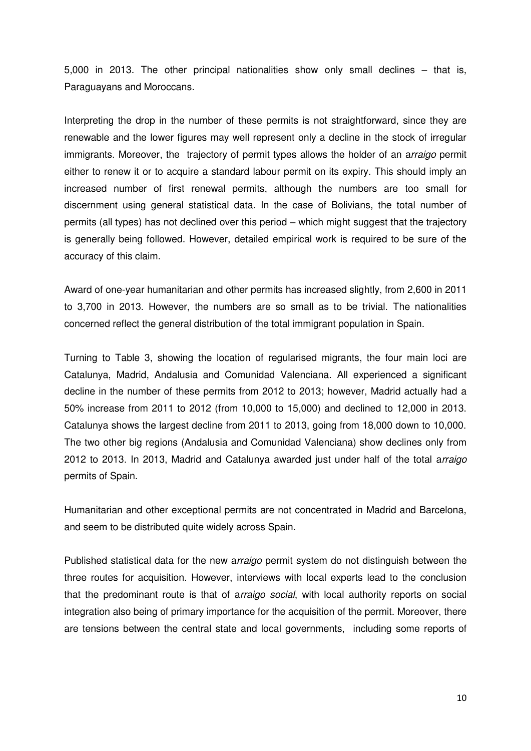5,000 in 2013. The other principal nationalities show only small declines – that is, Paraguayans and Moroccans.

Interpreting the drop in the number of these permits is not straightforward, since they are renewable and the lower figures may well represent only a decline in the stock of irregular immigrants. Moreover, the trajectory of permit types allows the holder of an a*rraigo* permit either to renew it or to acquire a standard labour permit on its expiry. This should imply an increased number of first renewal permits, although the numbers are too small for discernment using general statistical data. In the case of Bolivians, the total number of permits (all types) has not declined over this period – which might suggest that the trajectory is generally being followed. However, detailed empirical work is required to be sure of the accuracy of this claim.

Award of one-year humanitarian and other permits has increased slightly, from 2,600 in 2011 to 3,700 in 2013. However, the numbers are so small as to be trivial. The nationalities concerned reflect the general distribution of the total immigrant population in Spain.

Turning to Table 3, showing the location of regularised migrants, the four main loci are Catalunya, Madrid, Andalusia and Comunidad Valenciana. All experienced a significant decline in the number of these permits from 2012 to 2013; however, Madrid actually had a 50% increase from 2011 to 2012 (from 10,000 to 15,000) and declined to 12,000 in 2013. Catalunya shows the largest decline from 2011 to 2013, going from 18,000 down to 10,000. The two other big regions (Andalusia and Comunidad Valenciana) show declines only from 2012 to 2013. In 2013, Madrid and Catalunya awarded just under half of the total a*rraigo*  permits of Spain.

Humanitarian and other exceptional permits are not concentrated in Madrid and Barcelona, and seem to be distributed quite widely across Spain.

Published statistical data for the new a*rraigo* permit system do not distinguish between the three routes for acquisition. However, interviews with local experts lead to the conclusion that the predominant route is that of a*rraigo social*, with local authority reports on social integration also being of primary importance for the acquisition of the permit. Moreover, there are tensions between the central state and local governments, including some reports of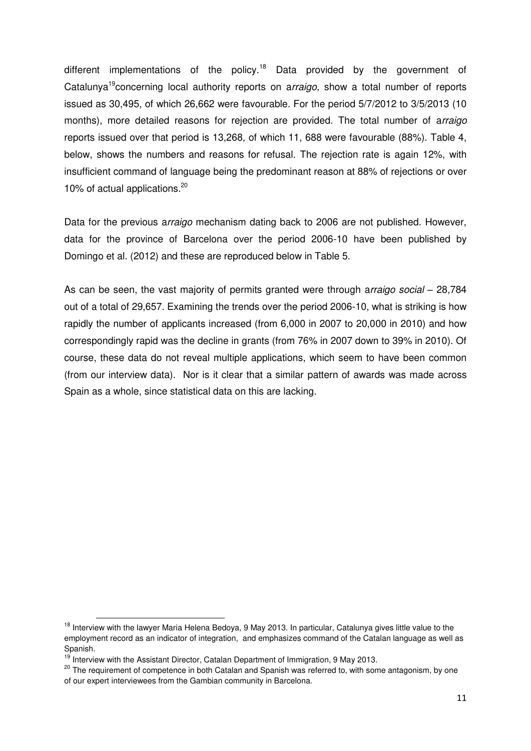different implementations of the policy.<sup>18</sup> Data provided by the government of Catalunya<sup>19</sup>concerning local authority reports on a*rraigo,* show a total number of reports issued as 30,495, of which 26,662 were favourable. For the period 5/7/2012 to 3/5/2013 (10 months), more detailed reasons for rejection are provided. The total number of a*rraigo* reports issued over that period is 13,268, of which 11, 688 were favourable (88%). Table 4, below, shows the numbers and reasons for refusal. The rejection rate is again 12%, with insufficient command of language being the predominant reason at 88% of rejections or over 10% of actual applications.<sup>20</sup>

Data for the previous a*rraigo* mechanism dating back to 2006 are not published. However, data for the province of Barcelona over the period 2006-10 have been published by Domingo et al. (2012) and these are reproduced below in Table 5.

As can be seen, the vast majority of permits granted were through a*rraigo social* – 28,784 out of a total of 29,657. Examining the trends over the period 2006-10, what is striking is how rapidly the number of applicants increased (from 6,000 in 2007 to 20,000 in 2010) and how correspondingly rapid was the decline in grants (from 76% in 2007 down to 39% in 2010). Of course, these data do not reveal multiple applications, which seem to have been common (from our interview data). Nor is it clear that a similar pattern of awards was made across Spain as a whole, since statistical data on this are lacking.

<sup>&</sup>lt;sup>18</sup> Interview with the lawyer Maria Helena Bedoya, 9 May 2013. In particular, Catalunya gives little value to the employment record as an indicator of integration, and emphasizes command of the Catalan language as well as Spanish.

 $19$  Interview with the Assistant Director, Catalan Department of Immigration, 9 May 2013.

<sup>&</sup>lt;sup>20</sup> The requirement of competence in both Catalan and Spanish was referred to, with some antagonism, by one of our expert interviewees from the Gambian community in Barcelona.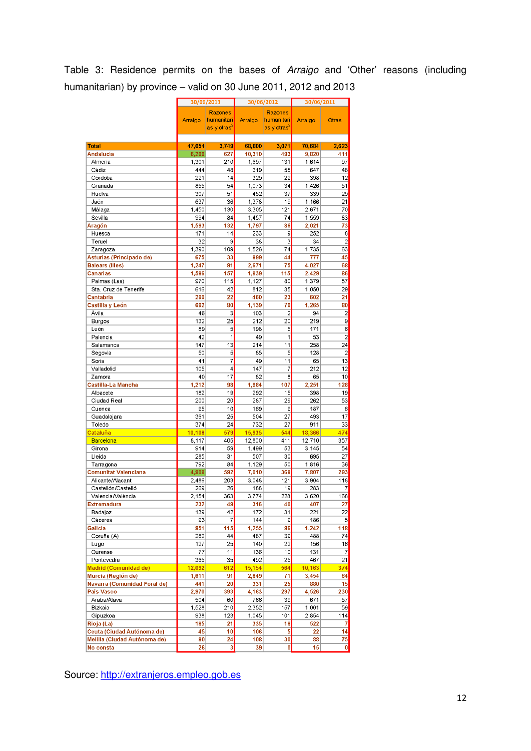#### Table 3: Residence permits on the bases of *Arraigo* and 'Other' reasons (including humanitarian) by province – valid on 30 June 2011, 2012 and 2013

|                              |                 | 30/06/2013                   | 30/06/2012       |                         | 30/06/2011       |                         |  |  |
|------------------------------|-----------------|------------------------------|------------------|-------------------------|------------------|-------------------------|--|--|
|                              |                 |                              |                  | <b>Razones</b>          |                  |                         |  |  |
|                              | Arraigo         | <b>Razones</b><br>humanitari | Arraigo          | humanitari              | Arraigo          | <b>Otras</b>            |  |  |
|                              |                 | as y otras′                  |                  | as y otras <sup>4</sup> |                  |                         |  |  |
|                              |                 |                              |                  |                         |                  |                         |  |  |
| <b>Total</b>                 | 47,054          | 3,749                        | 68,800           | 3,071                   | 70,684           | 2,623                   |  |  |
| Andalucía                    | 6,209           | 627                          | 10,310           | 493                     | 9,820            | 411                     |  |  |
| Almería                      | 1,301           | 210                          | 1,697            | 131                     | 1,614            | 97                      |  |  |
| Cádiz                        | 444             | 48                           | 619              | 55                      | 647              | 48                      |  |  |
| Córdoba                      | 221             | 14                           | 329              | 22                      | 398              | 12                      |  |  |
| Granada                      | 855             | 54                           | 1,073            | 34                      | 1,426            | 51                      |  |  |
| Huelva                       | 307             | 51                           | 452              | 37                      | 339              | 29                      |  |  |
| Jaén                         | 637             | 36                           | 1,378            | 19                      | 1.166            | 21                      |  |  |
| Málaga                       | 1,450           | 130                          | 3,305            | 121                     | 2,671            | 70                      |  |  |
| Sevilla                      | 994             | 84                           | 1,457            | 74                      | 1,559            | 83                      |  |  |
| Aragón                       | 1,593           | 132                          | 1,797            | 86                      | 2,021            | 73                      |  |  |
| Huesca                       | 171             | 14                           | 233              | 9                       | 252              | 8                       |  |  |
| Teruel                       | 32              | 9                            | 38               | 3                       | 34               | $\overline{c}$          |  |  |
| Zaragoza                     | 1,390           | 109                          | 1,526            | 74                      | 1,735            | 63                      |  |  |
| Asturias (Principado de)     | 675             | 33                           | 899              | 44                      | 777              | 45                      |  |  |
| <b>Balears (Illes)</b>       | 1,247           | 91                           | 2,671            | 75                      | 4,027            | 68                      |  |  |
| <b>Canarias</b>              | 1,586           | 157                          | 1,939            | 115                     | 2,429            | 86                      |  |  |
| Palmas (Las)                 | 970             | 115                          | 1,127            | 80                      | 1,379            | 57                      |  |  |
| Sta. Cruz de Tenerife        | 616             | 42                           | 812              | 35                      | 1,050            | 29                      |  |  |
| Cantabria                    | 290             | 22                           | 460              | 23                      | 602              | 21                      |  |  |
| Castilla y León              | 692             | 80                           | 1,139            | 70                      | 1,265            | 80                      |  |  |
| Ávila                        | 46              | 3                            | 103              | $\overline{c}$          | 94               | $\overline{\mathbf{c}}$ |  |  |
| Burgos                       | 132             | 25                           | 212              | 20                      | 219              | 9                       |  |  |
| León                         | 89              | 5                            | 198              | 5                       | 171              | 6                       |  |  |
| Palencia                     | 42              | $\mathbf{1}$                 | 49               | 1                       | 53               | $\overline{2}$          |  |  |
| Salamanca                    | 147             | 13                           | 214              | 11                      | 258              | 24                      |  |  |
| Segovia                      | 50              | 5                            | 85               | 5                       | 128              | $\overline{2}$          |  |  |
| Soria                        | 41              | $\overline{7}$               | 49               | 11                      | 65               | 13                      |  |  |
| Valladolid                   | 105             | 4                            | 147              | 7                       | 212              | 12                      |  |  |
| Zamora                       | 40              | 17                           | 82               | 8                       | 65               | 10                      |  |  |
| Castilla-La Mancha           | 1,212           | 98                           | 1,984            | 107                     | 2,251            | 128                     |  |  |
| Albacete                     | 182             | 19                           | 292              | 15                      | 398              | 19                      |  |  |
| Ciudad Real                  | 200             | 20                           | 287              | 29                      | 262              | 53                      |  |  |
| Cuenca                       | 95              | 10                           | 169              | 9                       | 187              | 6                       |  |  |
| Guadalajara                  | 361             | 25                           | 504              | 27                      | 493              | 17                      |  |  |
| Toledo                       | 374             | 24                           | 732              | 27                      | 911              | 33                      |  |  |
| Cataluña<br><b>Barcelona</b> | 10,108<br>8,117 | 579<br>405                   | 15,935<br>12,800 | 544<br>411              | 18,366<br>12,710 | 474<br>357              |  |  |
| Girona                       | 914             | 59                           | 1,499            | 53                      | 3,145            | 54                      |  |  |
| Lleida                       | 285             | 31                           | 507              | 30                      | 695              | 27                      |  |  |
| Tarragona                    | 792             | 84                           | 1,129            | 50                      | 1,816            | 36                      |  |  |
| <b>Comunitat Valenciana</b>  | 4,909           | 592                          | 7,010            | 368                     | 7,807            | 293                     |  |  |
| Alicante/Alacant             | 2,486           | 203                          | 3,048            | 121                     | 3,904            | 118                     |  |  |
| Castellón/Castelló           | 269             | 26                           | 188              | 19                      | 283              | 7                       |  |  |
| Valencia/València            | 2,154           | 363                          | 3,774            | 228                     | 3,620            | 168                     |  |  |
| <b>Extremadura</b>           | 232             | 49                           | 316              | 40                      | 407              | 27                      |  |  |
| Badajoz                      | 139             | 42                           | 172              | 31                      | 221              | 22                      |  |  |
| Cáceres                      | 93              | $\overline{7}$               | 144              | $\overline{9}$          | 186              | 5                       |  |  |
| Galicia                      | 851             | 115                          | 1,255            | 96                      | 1,242            | 118                     |  |  |
| Coruña (A)                   | 282             | 44                           | 487              | 39                      | 488              | 74                      |  |  |
| Lugo                         | 127             | 25                           | 140              | 22                      | 156              | 16                      |  |  |
| Ourense                      | 77              | 11                           | 136              | 10                      | 131              | $\overline{7}$          |  |  |
| Pontevedra                   | 365             | 35                           | 492              | 25                      | 467              | 21                      |  |  |
| <b>Madrid (Comunidad de)</b> | 12,092          | 612                          | 15,154           | 564                     | 10,163           | 374                     |  |  |
| Murcia (Región de)           | 1,611           | 91                           | 2,849            | 71                      | 3,454            | 84                      |  |  |
| Navarra (Comunidad Foral de) | 441             | 20                           | 331              | 25                      | 880              | 15                      |  |  |
| País Vasco                   | 2,970           | 393                          | 4,163            | 297                     | 4,526            | 230                     |  |  |
| Araba/Alava                  | 504             | 60                           | 766              | 39                      | 671              | 57                      |  |  |
| Bizkaia                      | 1,528           | 210                          | 2,352            | 157                     | 1,001            | 59                      |  |  |
| Gipuzkoa                     | 938             | 123                          | 1,045            | 101                     | 2,854            | 114                     |  |  |
| Rioja (La)                   | 185             | 21                           | 335              | 18                      | 522              | 7                       |  |  |
| Ceuta (Ciudad Autónoma de)   | 45              | 10                           | 106              | $\overline{5}$          | 22               | 14                      |  |  |
| Melilla (Ciudad Autónoma de) | 80              | 24                           | 108              | 30                      | 88               | 75                      |  |  |
| No consta                    | 26              | 3                            | 39               | 0                       | 15               | 0                       |  |  |

Source: [http://extranjeros.empleo.gob.es](http://extranjeros.empleo.gob.es/)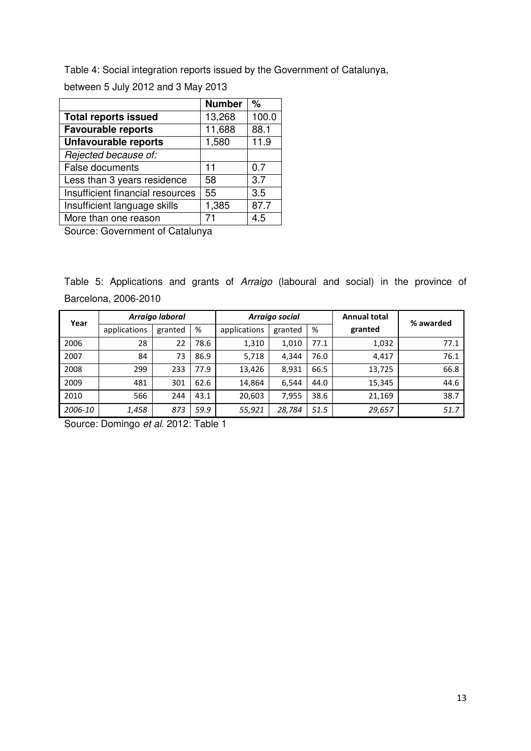Table 4: Social integration reports issued by the Government of Catalunya,

between 5 July 2012 and 3 May 2013

|                                  | <b>Number</b> | %     |
|----------------------------------|---------------|-------|
| <b>Total reports issued</b>      | 13,268        | 100.0 |
| Favourable reports               | 11,688        | 88.1  |
| Unfavourable reports             | 1,580         | 11.9  |
| Rejected because of:             |               |       |
| <b>False documents</b>           | 11            | 0.7   |
| Less than 3 years residence      | 58            | 3.7   |
| Insufficient financial resources | 55            | 3.5   |
| Insufficient language skills     | 1,385         | 87.7  |
| More than one reason             |               | 4.5   |

Source: Government of Catalunya

Table 5: Applications and grants of *Arraigo* (laboural and social) in the province of Barcelona, 2006-2010

| Year    |              | Arraigo laboral |      |              | Arraigo social |      | <b>Annual total</b> | % awarded |
|---------|--------------|-----------------|------|--------------|----------------|------|---------------------|-----------|
|         | applications | granted         | %    | applications | granted        | %    | granted             |           |
| 2006    | 28           | 22              | 78.6 | 1,310        | 1,010          | 77.1 | 1,032               | 77.1      |
| 2007    | 84           | 73              | 86.9 | 5,718        | 4.344          | 76.0 | 4,417               | 76.1      |
| 2008    | 299          | 233             | 77.9 | 13,426       | 8,931          | 66.5 | 13,725              | 66.8      |
| 2009    | 481          | 301             | 62.6 | 14,864       | 6.544          | 44.0 | 15,345              | 44.6      |
| 2010    | 566          | 244             | 43.1 | 20,603       | 7,955          | 38.6 | 21,169              | 38.7      |
| 2006-10 | 1,458        | 873             | 59.9 | 55,921       | 28,784         | 51.5 | 29,657              | 51.7      |

Source: Domingo *et al*. 2012: Table 1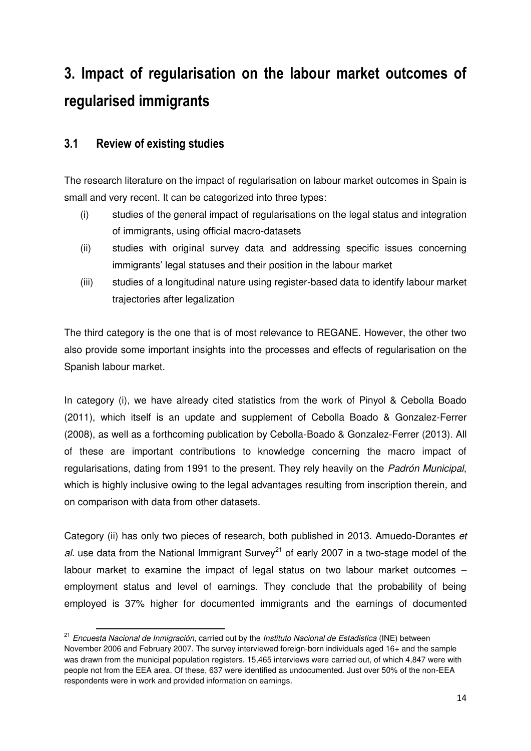# **3. Impact of regularisation on the labour market outcomes of regularised immigrants**

#### **3.1 Review of existing studies**

-

The research literature on the impact of regularisation on labour market outcomes in Spain is small and very recent. It can be categorized into three types:

- (i) studies of the general impact of regularisations on the legal status and integration of immigrants, using official macro-datasets
- (ii) studies with original survey data and addressing specific issues concerning immigrants' legal statuses and their position in the labour market
- (iii) studies of a longitudinal nature using register-based data to identify labour market trajectories after legalization

The third category is the one that is of most relevance to REGANE. However, the other two also provide some important insights into the processes and effects of regularisation on the Spanish labour market.

In category (i), we have already cited statistics from the work of Pinyol & Cebolla Boado (2011), which itself is an update and supplement of Cebolla Boado & Gonzalez-Ferrer (2008), as well as a forthcoming publication by Cebolla-Boado & Gonzalez-Ferrer (2013). All of these are important contributions to knowledge concerning the macro impact of regularisations, dating from 1991 to the present. They rely heavily on the *Padrón Municipal*, which is highly inclusive owing to the legal advantages resulting from inscription therein*,* and on comparison with data from other datasets.

Category (ii) has only two pieces of research, both published in 2013. Amuedo-Dorantes *et al.* use data from the National Immigrant Survey<sup>21</sup> of early 2007 in a two-stage model of the labour market to examine the impact of legal status on two labour market outcomes – employment status and level of earnings. They conclude that the probability of being employed is 37% higher for documented immigrants and the earnings of documented

<sup>21</sup> *Encuesta Nacional de Inmigración*, carried out by the *Instituto Nacional de Estadistica* (INE) between November 2006 and February 2007. The survey interviewed foreign-born individuals aged 16+ and the sample was drawn from the municipal population registers. 15,465 interviews were carried out, of which 4,847 were with people not from the EEA area. Of these, 637 were identified as undocumented. Just over 50% of the non-EEA respondents were in work and provided information on earnings.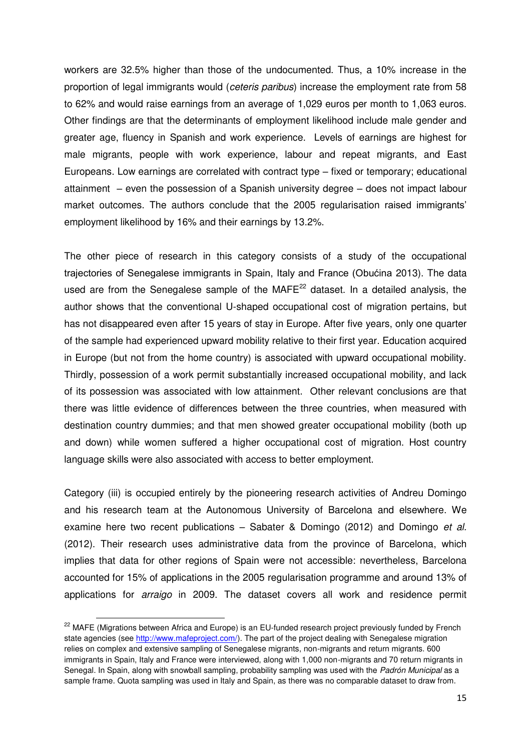workers are 32.5% higher than those of the undocumented. Thus, a 10% increase in the proportion of legal immigrants would (*ceteris paribus*) increase the employment rate from 58 to 62% and would raise earnings from an average of 1,029 euros per month to 1,063 euros. Other findings are that the determinants of employment likelihood include male gender and greater age, fluency in Spanish and work experience. Levels of earnings are highest for male migrants, people with work experience, labour and repeat migrants, and East Europeans. Low earnings are correlated with contract type – fixed or temporary; educational attainment – even the possession of a Spanish university degree – does not impact labour market outcomes. The authors conclude that the 2005 regularisation raised immigrants' employment likelihood by 16% and their earnings by 13.2%.

The other piece of research in this category consists of a study of the occupational trajectories of Senegalese immigrants in Spain, Italy and France (Obućina 2013). The data used are from the Senegalese sample of the  $MAFE<sup>22</sup>$  dataset. In a detailed analysis, the author shows that the conventional U-shaped occupational cost of migration pertains, but has not disappeared even after 15 years of stay in Europe. After five years, only one quarter of the sample had experienced upward mobility relative to their first year. Education acquired in Europe (but not from the home country) is associated with upward occupational mobility. Thirdly, possession of a work permit substantially increased occupational mobility, and lack of its possession was associated with low attainment. Other relevant conclusions are that there was little evidence of differences between the three countries, when measured with destination country dummies; and that men showed greater occupational mobility (both up and down) while women suffered a higher occupational cost of migration. Host country language skills were also associated with access to better employment.

Category (iii) is occupied entirely by the pioneering research activities of Andreu Domingo and his research team at the Autonomous University of Barcelona and elsewhere. We examine here two recent publications – Sabater & Domingo (2012) and Domingo *et al.* (2012). Their research uses administrative data from the province of Barcelona, which implies that data for other regions of Spain were not accessible: nevertheless, Barcelona accounted for 15% of applications in the 2005 regularisation programme and around 13% of applications for *arraigo* in 2009. The dataset covers all work and residence permit

<sup>&</sup>lt;sup>22</sup> MAFE (Migrations between Africa and Europe) is an EU-funded research project previously funded by French state agencies (se[e http://www.mafeproject.com/\)](http://www.mafeproject.com/). The part of the project dealing with Senegalese migration relies on complex and extensive sampling of Senegalese migrants, non-migrants and return migrants. 600 immigrants in Spain, Italy and France were interviewed, along with 1,000 non-migrants and 70 return migrants in Senegal. In Spain, along with snowball sampling, probability sampling was used with the *Padrón Municipal* as a sample frame. Quota sampling was used in Italy and Spain, as there was no comparable dataset to draw from.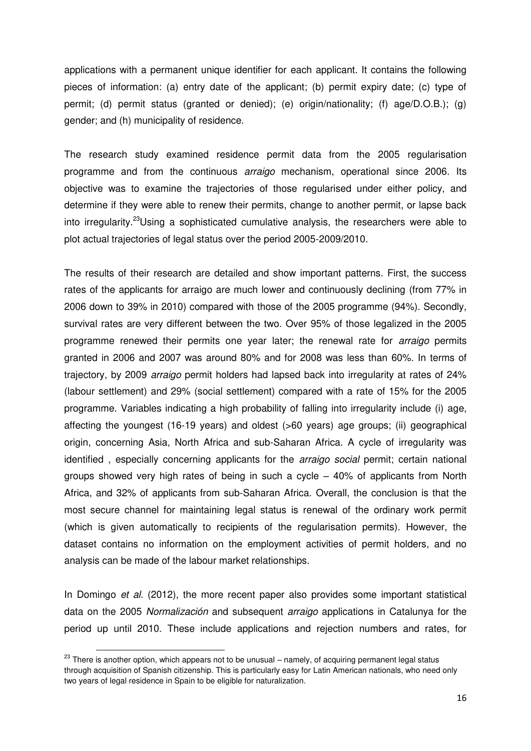applications with a permanent unique identifier for each applicant. It contains the following pieces of information: (a) entry date of the applicant; (b) permit expiry date; (c) type of permit; (d) permit status (granted or denied); (e) origin/nationality; (f) age/D.O.B.); (g) gender; and (h) municipality of residence.

The research study examined residence permit data from the 2005 regularisation programme and from the continuous *arraigo* mechanism, operational since 2006. Its objective was to examine the trajectories of those regularised under either policy, and determine if they were able to renew their permits, change to another permit, or lapse back into irregularity.<sup>23</sup>Using a sophisticated cumulative analysis, the researchers were able to plot actual trajectories of legal status over the period 2005-2009/2010.

The results of their research are detailed and show important patterns. First, the success rates of the applicants for arraigo are much lower and continuously declining (from 77% in 2006 down to 39% in 2010) compared with those of the 2005 programme (94%). Secondly, survival rates are very different between the two. Over 95% of those legalized in the 2005 programme renewed their permits one year later; the renewal rate for *arraigo* permits granted in 2006 and 2007 was around 80% and for 2008 was less than 60%. In terms of trajectory, by 2009 *arraigo* permit holders had lapsed back into irregularity at rates of 24% (labour settlement) and 29% (social settlement) compared with a rate of 15% for the 2005 programme. Variables indicating a high probability of falling into irregularity include (i) age, affecting the youngest (16-19 years) and oldest (>60 years) age groups; (ii) geographical origin, concerning Asia, North Africa and sub-Saharan Africa. A cycle of irregularity was identified , especially concerning applicants for the *arraigo social* permit; certain national groups showed very high rates of being in such a cycle – 40% of applicants from North Africa, and 32% of applicants from sub-Saharan Africa. Overall, the conclusion is that the most secure channel for maintaining legal status is renewal of the ordinary work permit (which is given automatically to recipients of the regularisation permits). However, the dataset contains no information on the employment activities of permit holders, and no analysis can be made of the labour market relationships.

In Domingo *et al.* (2012), the more recent paper also provides some important statistical data on the 2005 *Normalización* and subsequent *arraigo* applications in Catalunya for the period up until 2010. These include applications and rejection numbers and rates, for

 $23$  There is another option, which appears not to be unusual – namely, of acquiring permanent legal status through acquisition of Spanish citizenship. This is particularly easy for Latin American nationals, who need only two years of legal residence in Spain to be eligible for naturalization.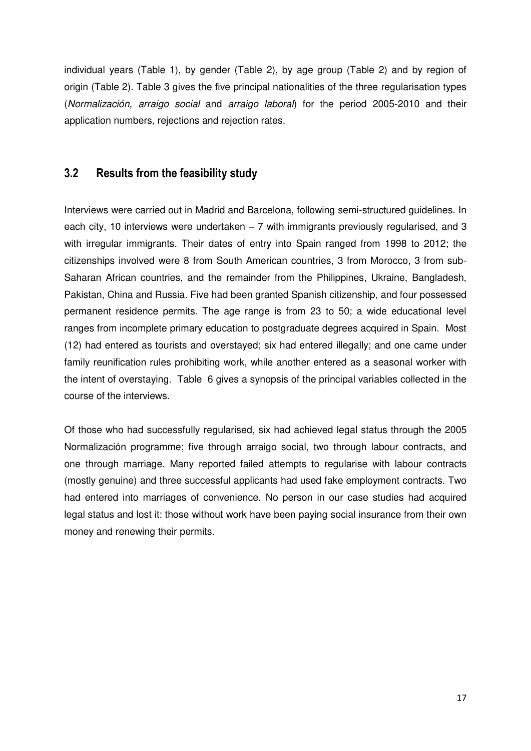individual years (Table 1), by gender (Table 2), by age group (Table 2) and by region of origin (Table 2). Table 3 gives the five principal nationalities of the three regularisation types (*Normalización, arraigo social* and *arraigo laboral*) for the period 2005-2010 and their application numbers, rejections and rejection rates.

#### **3.2 Results from the feasibility study**

Interviews were carried out in Madrid and Barcelona, following semi-structured guidelines. In each city, 10 interviews were undertaken – 7 with immigrants previously regularised, and 3 with irregular immigrants. Their dates of entry into Spain ranged from 1998 to 2012; the citizenships involved were 8 from South American countries, 3 from Morocco, 3 from sub-Saharan African countries, and the remainder from the Philippines, Ukraine, Bangladesh, Pakistan, China and Russia. Five had been granted Spanish citizenship, and four possessed permanent residence permits. The age range is from 23 to 50; a wide educational level ranges from incomplete primary education to postgraduate degrees acquired in Spain. Most (12) had entered as tourists and overstayed; six had entered illegally; and one came under family reunification rules prohibiting work, while another entered as a seasonal worker with the intent of overstaying. Table 6 gives a synopsis of the principal variables collected in the course of the interviews.

Of those who had successfully regularised, six had achieved legal status through the 2005 Normalización programme; five through arraigo social, two through labour contracts, and one through marriage. Many reported failed attempts to regularise with labour contracts (mostly genuine) and three successful applicants had used fake employment contracts. Two had entered into marriages of convenience. No person in our case studies had acquired legal status and lost it: those without work have been paying social insurance from their own money and renewing their permits.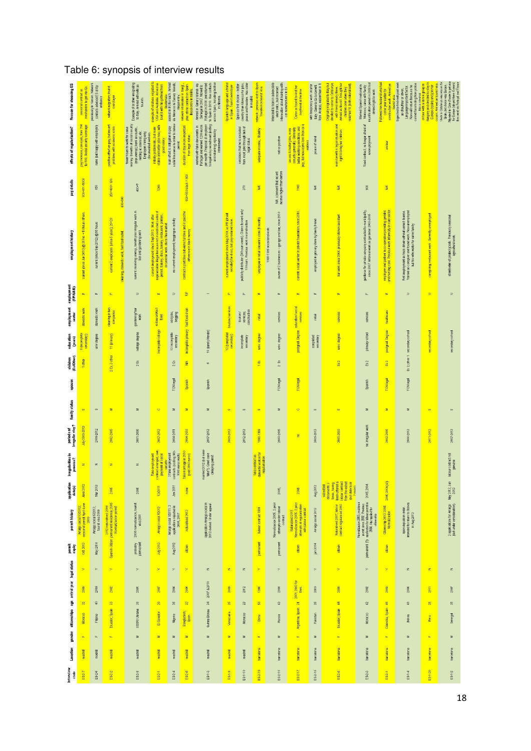#### Table 6: synopsis of interview results

| Reason for choosing ES                     | mechanism to get into Es.<br>seasonal contract as                   | previously in Yemen, Network<br>contacts advised ES at Sp<br>embassy | network migration; fourist<br>pverstaver                                                   | Example of brother emigrating<br>to Italy, Anrived with wife as<br>tourists.                                                                                                | example of relatives migrated to<br>USA and Australia . Anived as<br>tourist with his girthend from                                                              | easlest in EUto reach. Arrived<br>via Morocco in Canary Islands;<br>illegal entry. | plus ethnic contacts in Spain.<br>Begal entry in Melita.<br>network information in Bangl. | Portugal in 2008 and returned<br>to Spain in 2010. Has contacts<br>across Spain, including brother<br>Ameed in Canary Islands via<br>Senegal in 2007, Moved to<br>in Almeria.        | brent e bre egencial usuads<br>in Spain. Tourist overstayer                                      | country than Morocco for jobs,<br>peace and freedom. Has sister<br>Spain as first choice - better<br>in madrid | network; previous with to Spam<br>ravalled on tourist visa | Internded to train in automobile<br>electronics, but incorrect<br>Information about training with<br>car manufacturers in Es | Came as tourist to wist her<br>boytriend at the time                                                                                           | Italy. Came to Es to benefit<br>from Arraigo, easter than in it<br>with temporary work visafor | Arrived as burist. Brought her<br>Originally migrated to Italy but<br>decided to come to Catalunga<br>reached 18 (both natural sed)<br>with friend already there.<br>children over when they | reunification permit in 2002 but<br>Married Spanish national in<br>Morocco; came with family<br>denied right to work                                                | Followed her husband who had<br>construction work. Arrived on<br>come year earlier for                                | Expected to find well paid work<br>cannot face hiding from police<br>Now will return because he<br>Language Important factor<br>as chautheur or chiver.<br><b>Ike a criminal</b><br>counst wisa. | Hungary and decided to stay in<br>ontour with a dance group in<br>Europe (spain) and join her | Migrated to Cote d'hoire to get visa<br>for Europe (stayed there 4 years)<br>then went via Portugal and France<br>cousin, Antied on fourist visa.<br>Unde in Catalunya was reason for<br>Spain, but choice was Europe. |
|--------------------------------------------|---------------------------------------------------------------------|----------------------------------------------------------------------|--------------------------------------------------------------------------------------------|-----------------------------------------------------------------------------------------------------------------------------------------------------------------------------|------------------------------------------------------------------------------------------------------------------------------------------------------------------|------------------------------------------------------------------------------------|-------------------------------------------------------------------------------------------|--------------------------------------------------------------------------------------------------------------------------------------------------------------------------------------|--------------------------------------------------------------------------------------------------|----------------------------------------------------------------------------------------------------------------|------------------------------------------------------------|------------------------------------------------------------------------------------------------------------------------------|------------------------------------------------------------------------------------------------------------------------------------------------|------------------------------------------------------------------------------------------------|----------------------------------------------------------------------------------------------------------------------------------------------------------------------------------------------|---------------------------------------------------------------------------------------------------------------------------------------------------------------------|-----------------------------------------------------------------------------------------------------------------------|--------------------------------------------------------------------------------------------------------------------------------------------------------------------------------------------------|-----------------------------------------------------------------------------------------------|------------------------------------------------------------------------------------------------------------------------------------------------------------------------------------------------------------------------|
|                                            |                                                                     |                                                                      |                                                                                            |                                                                                                                                                                             |                                                                                                                                                                  |                                                                                    |                                                                                           |                                                                                                                                                                                      |                                                                                                  |                                                                                                                |                                                            |                                                                                                                              |                                                                                                                                                |                                                                                                |                                                                                                                                                                                              |                                                                                                                                                                     |                                                                                                                       |                                                                                                                                                                                                  |                                                                                               |                                                                                                                                                                                                                        |
| effects of regularization?                 | payincrease, same job, from 700<br>to 800. Social security coverage | none (out happy with employer)                                       | positive effect on pay, but recent<br>problems with economic crisis                        | money. Benefits of social security<br>fewer hours to work for same<br>(esp unemp); bank accourts,<br>renting accommod, etc.<br>Employers hiring only<br>documented workers. | stable and better jobs now, with<br>initially problematic, but more<br>weles poob                                                                                | social insurance in order to renew<br>main effect is obligation to pay<br>permit   | duration of stay more important<br>than legal status                                      | per month. Proposal di employer<br>to legatise by recruitment (exting<br>Portugal and earned 1200 euros<br>worked with fake documents in<br>and returning) rejected by<br>ritennewee |                                                                                                  | considers that he is excluded<br>from most jobs through lack of<br>legal status                                | adequate income, Stability                                 | not so positive                                                                                                              | better working conditions and<br>pay, but now earns less than as a<br>security generally. Generally<br>access to better jobs, more<br>viatress | peace of mind                                                                                  | main benefit is legal situation and<br>right to bring her children.                                                                                                                          | fixed contract; no longer atraid of<br>unemployment                                                                                                                 | undear                                                                                                                |                                                                                                                                                                                                  |                                                                                               |                                                                                                                                                                                                                        |
| pay details                                | $000 + 35 = 1000$                                                   | 850                                                                  | 350+480= 830<br>400-600                                                                    | $400 + ?$                                                                                                                                                                   | 1200                                                                                                                                                             |                                                                                    | $600 + 350$ black = $950$                                                                 |                                                                                                                                                                                      |                                                                                                  | 370                                                                                                            | $\geq$                                                     | NK. comment that recert<br>income higher than before                                                                         | 1100                                                                                                                                           | ž                                                                                              | ă                                                                                                                                                                                            | \$                                                                                                                                                                  | NK                                                                                                                    |                                                                                                                                                                                                  |                                                                                               |                                                                                                                                                                                                                        |
| employment history                         | current (since Jun 2010) @ 35 hrs +18 hours others.                 | current (since Sep 2012) @ 55 hours                                  | current 2 employers (since 5 years); 20+20<br>deaning, domestic work, fast food outlet     | current: receiving unemp, benefit pus irregular work in<br>bar and gardening work                                                                                           | pemit. Bakery, disco, bakery, restaurant, printers,<br>regularization lilegal because not in restricted sector<br>current employment since Sept 2012, Work after | no current employment, begging as activity<br>occasional work, disco. flea market  | contract is part time but works full time and is paid the<br>ofference in black money     |                                                                                                                                                                                      | current employment since May 2010, as PR (street<br>recruiter) for disco, but pay reduced since. | publicity distributor (30 hours week). Claims to work only<br>10 hours. Previous work in construction          | employee in retail souvenirs store (t month)               | owner of 2 businesses -- garage and bar, since 2010<br>1938-1999 occasional work                                             | current: social worker in private foundation, since 2010.                                                                                      | employed in grocery store by family friend                                                     | bar work since 2004. previously kitchen assistant                                                                                                                                            | gardener for private company contracted to municipality,<br>since 2007: Informal work as gardener 2000-2006                                                         | employee and pather in co-operative providing geriative<br>and nursing care. Previous work informally in care sector. | first employmert as truck driver without correct licence.<br>Trained as caregiver and found work. Now unemployed<br>but his wife works for same family                                           | caregiving restaurant work. Currently unemployed                                              | streetseller of pirated goods. Prevously seasonal<br>agricultural work.                                                                                                                                                |
|                                            | u,                                                                  | u.                                                                   | $\Delta$                                                                                   | $\Rightarrow$                                                                                                                                                               | $\mu$                                                                                                                                                            | $\Rightarrow$                                                                      | 旨                                                                                         |                                                                                                                                                                                      | $\alpha$                                                                                         | a.                                                                                                             | $\mathbf{u}_t$                                             | $\mathbf{u}$                                                                                                                 | $\mathbf{u}$                                                                                                                                   | u.                                                                                             | $\mathbf{u}_t$                                                                                                                                                                               | u.                                                                                                                                                                  | $\mathbf{u}_i$                                                                                                        | $\Rightarrow$                                                                                                                                                                                    | $\Rightarrow$                                                                                 | $\Rightarrow$                                                                                                                                                                                                          |
| employment employment<br>sector (FR/UAE)   | domestic work                                                       | domestic work                                                        | cleaning in two<br>companies                                                               | gardening/bar<br>work                                                                                                                                                       | restaurantast<br>food                                                                                                                                            | odd jobs,<br>begging                                                               | fast food chain                                                                           |                                                                                                                                                                                      | tourism/services                                                                                 | construction<br>services;<br>tounsmf                                                                           | retail                                                     | sentoes                                                                                                                      | education/ social<br>services                                                                                                                  | retail                                                                                         | senices                                                                                                                                                                                      | senices                                                                                                                                                             | heathcare                                                                                                             |                                                                                                                                                                                                  |                                                                                               |                                                                                                                                                                                                                        |
| education<br>(years)                       | 8 (incomplete)<br>econdary)                                         | univ degree                                                          | 11 (primary)                                                                               | college degree                                                                                                                                                              | incomplete college                                                                                                                                               | 13 incomplete<br>secondary                                                         | incomplete primary                                                                        | 10 (barely literate)                                                                                                                                                                 | 12 (completed<br>econdary)                                                                       | Incomplete<br>secondary                                                                                        | univ. degree                                               | univ.degree                                                                                                                  | postgrad. Degree                                                                                                                               | completed<br>secondary                                                                         | univ. degree                                                                                                                                                                                 | primary school                                                                                                                                                      | postgad. Degree                                                                                                       | Es 2; other 1 secondary school                                                                                                                                                                   | secondary school                                                                              | secondary school                                                                                                                                                                                                       |
| children<br>(Es <i>l</i> Other)            | 1 other                                                             |                                                                      | 2 Es; 3 other                                                                              | 2E <sub>5</sub>                                                                                                                                                             |                                                                                                                                                                  | $2 \, \mathrm{ES}$                                                                 | Ş                                                                                         | $\circ$                                                                                                                                                                              |                                                                                                  |                                                                                                                | t Es                                                       | $\mathfrak{U}$<br>$\sim$                                                                                                     |                                                                                                                                                |                                                                                                | Es 2                                                                                                                                                                                         | E <sub>2</sub>                                                                                                                                                      | Es 2                                                                                                                  |                                                                                                                                                                                                  |                                                                                               |                                                                                                                                                                                                                        |
| spouse                                     |                                                                     |                                                                      |                                                                                            |                                                                                                                                                                             |                                                                                                                                                                  | TCNIegal                                                                           | Spanish                                                                                   | Spanish                                                                                                                                                                              |                                                                                                  |                                                                                                                |                                                            | TCNIegal                                                                                                                     | TCNIegal                                                                                                                                       |                                                                                                |                                                                                                                                                                                              | Spanish                                                                                                                                                             | <b>TCNIegal</b>                                                                                                       | TCNIegal                                                                                                                                                                                         |                                                                                               |                                                                                                                                                                                                                        |
| family status                              | ø                                                                   | œ                                                                    | z                                                                                          | z                                                                                                                                                                           | $\ddot{\circ}$                                                                                                                                                   | z                                                                                  | $\equiv$                                                                                  | z                                                                                                                                                                                    | 69                                                                                               | 65                                                                                                             | $\infty$                                                   | z                                                                                                                            | $\ddot{\circ}$                                                                                                                                 | 65                                                                                             | ø                                                                                                                                                                                            | z                                                                                                                                                                   | 世                                                                                                                     | z                                                                                                                                                                                                | $\circ$                                                                                       | ö,                                                                                                                                                                                                                     |
| Irregular stay?<br>periods of              | July 2009-2012                                                      | 2009-2012                                                            | 2002-2005                                                                                  | 2001-2005                                                                                                                                                                   | 2007-2012                                                                                                                                                        | 2004-2011                                                                          | 2004-2010                                                                                 | 2007-2013                                                                                                                                                                            | 2009-2013                                                                                        | 2012-2013                                                                                                      | 1998-1999                                                  | 2000-2005                                                                                                                    | $\epsilon$                                                                                                                                     | 2009-2013                                                                                      | 2000-2003                                                                                                                                                                                    | no. imegular work                                                                                                                                                   | 2002-2005                                                                                                             | 2006-2013                                                                                                                                                                                        | 2011-2013                                                                                     | 2007-2013                                                                                                                                                                                                              |
| Irregularities in<br>process?              | z                                                                   | z                                                                    | $\overline{\mathbf{z}}$                                                                    | z                                                                                                                                                                           | contract arranged; own<br>Fake employment<br>payment of social                                                                                                   | contracts (costing 900-<br>1000 euros each)<br>security<br>3 fake employment       | fake martiage in 2010<br>(paid 3000 euros)                                                | married 2012 (but semi-<br>take?), Court case<br>delaying permit                                                                                                                     |                                                                                                  |                                                                                                                | domestic worker for<br>fake contract as<br>regularisation  |                                                                                                                              |                                                                                                                                                |                                                                                                |                                                                                                                                                                                              |                                                                                                                                                                     |                                                                                                                       |                                                                                                                                                                                                  |                                                                                               | labour contract not<br>genuine                                                                                                                                                                                         |
| application<br>$_{\text{data(s)}}$         | June 2012                                                           | Mar 2013                                                             | 2005                                                                                       | 2005                                                                                                                                                                        | 12/2011                                                                                                                                                          | Jan 2011                                                                           | none                                                                                      |                                                                                                                                                                                      |                                                                                                  |                                                                                                                |                                                            | 2005,                                                                                                                        | 2005                                                                                                                                           | Aug 2012                                                                                       | times, having<br>been offered a<br>labour contract<br>from the outset<br><b>put state took</b><br>documents 3<br>submitted                                                                   | 2005;2004                                                                                                                                                           | 2006;2004(92)                                                                                                         |                                                                                                                                                                                                  |                                                                                               | May 2013; Jan $2013$                                                                                                                                                                                                   |
| permit history                             | Arraigo social 10/2012;<br>seasoral permit April-June               | Arraigo social 5/2013;<br>tourist wisa 2009                          | Sparish ditzen permanent residence; 2005<br>2012 naturals ed. 2009<br>Normalizacion permit | 2005 normalizacion; tourist<br>wsa 2001                                                                                                                                     | Arraigo social 7/2012                                                                                                                                            | Arraigo social RCO11;2<br>applications rejected in<br>2008, 2007                   | naturalised 2013                                                                          | application Arraigo social in<br>2012 denied Under appeal.                                                                                                                           |                                                                                                  |                                                                                                                | Iabour contract 1999                                       | Normalizacion 2005, 2 prior<br>attempts under labour<br>comment                                                              | Normalizacion 2005. 2 prior<br>attempts at regularization<br>with labour contract<br>Naturalized 2011                                          | Arraigo social 2013                                                                            | Natural sed 2007; labour<br>contract regularised 2003                                                                                                                                        | Numisizoion 2005; residence<br>permanent (?) - spelization for blow permain<br>permanent (?) - spelization for blow permain<br>2004, Has spelied for<br>citizenship | Otizenship 2010.2005<br>Normalizacion                                                                                 | open expulsion order.<br>Intended to return to Bolivia<br>In Aug 2013                                                                                                                            |                                                                                               | 2 applications for Arraigo<br>(ast under consideration)                                                                                                                                                                |
| permit                                     | 0ct. 2013                                                           | May 2014                                                             |                                                                                            | probably<br>permanent                                                                                                                                                       | July 2013                                                                                                                                                        | Aug 2012                                                                           | citizen                                                                                   |                                                                                                                                                                                      |                                                                                                  |                                                                                                                | permanent                                                  | permanent                                                                                                                    | citizen                                                                                                                                        | jan 2014                                                                                       | citizen                                                                                                                                                                                      |                                                                                                                                                                     | citizen                                                                                                               |                                                                                                                                                                                                  |                                                                                               |                                                                                                                                                                                                                        |
|                                            | ×                                                                   | ×                                                                    | $\succ$                                                                                    | ×                                                                                                                                                                           | ×                                                                                                                                                                | ×                                                                                  | ×                                                                                         | $\overline{z}$                                                                                                                                                                       | $\mathbf{z}$                                                                                     | $\overline{z}$                                                                                                 | $\geq$                                                     | $\,$                                                                                                                         | $\geq$                                                                                                                                         | $\succ$                                                                                        | ×                                                                                                                                                                                            | $\succ$                                                                                                                                                             | $\geq$                                                                                                                | $\overline{z}$                                                                                                                                                                                   | z                                                                                             | $\overline{z}$                                                                                                                                                                                                         |
| citizenships age arrival year legal status | 2008                                                                | 2009                                                                 | zoc                                                                                        | 2001                                                                                                                                                                        | 2007                                                                                                                                                             | 2004                                                                               | 2004                                                                                      | 2007 & 2010                                                                                                                                                                          | 2009                                                                                             | 2012                                                                                                           | 1998                                                       | $2000$                                                                                                                       | 2001;2003 for                                                                                                                                  | 2009                                                                                           | 2000                                                                                                                                                                                         | 2002                                                                                                                                                                | 2002                                                                                                                  | 2006                                                                                                                                                                                             | 2011                                                                                          | 2007                                                                                                                                                                                                                   |
|                                            | $\approx$                                                           | $\mathfrak{A}$                                                       | B                                                                                          | B                                                                                                                                                                           | $\mathcal{E}$                                                                                                                                                    | %                                                                                  | $\frac{2}{3}$                                                                             | Ħ                                                                                                                                                                                    | 8                                                                                                | Z                                                                                                              | $\mathcal{S}$                                              | $\sqrt{3}$                                                                                                                   | $5\overline{6}$                                                                                                                                | X,                                                                                             | 4                                                                                                                                                                                            | 42                                                                                                                                                                  | $\frac{1}{2}$                                                                                                         | \$                                                                                                                                                                                               | $\mathcal{B}$                                                                                 | $\%$                                                                                                                                                                                                                   |
|                                            | Morocco                                                             | Filipino                                                             | Ecuador; Spain                                                                             | USSR/ Ukraine                                                                                                                                                               | El Savador                                                                                                                                                       | Nigeria                                                                            | Bangladesh,<br>Spain                                                                      | Guinea Bissau                                                                                                                                                                        | Venezuela                                                                                        | Morocco                                                                                                        | Crima                                                      | Russia                                                                                                                       | Argentina; Spain                                                                                                                               | Pakistan                                                                                       | Ecuador; Spain                                                                                                                                                                               | Morocco                                                                                                                                                             | Colombia; Spain                                                                                                       | Bolivia                                                                                                                                                                                          | Peru                                                                                          | Senegal                                                                                                                                                                                                                |
| gender                                     | ju,                                                                 | u.                                                                   | <b>u</b>                                                                                   | z                                                                                                                                                                           | ×                                                                                                                                                                | z                                                                                  | $\equiv$                                                                                  | z                                                                                                                                                                                    | z                                                                                                | z                                                                                                              | u.                                                         | $\Xi$                                                                                                                        | u,                                                                                                                                             | z                                                                                              | $\mathbf{u}$                                                                                                                                                                                 | z                                                                                                                                                                   | $\mathbf{u}_i$                                                                                                        | z                                                                                                                                                                                                | <b>u</b>                                                                                      | z                                                                                                                                                                                                                      |
| Location                                   | madrid                                                              | madrid                                                               | madrid                                                                                     | madrid                                                                                                                                                                      | madrid                                                                                                                                                           | madrid                                                                             | madrid                                                                                    | madrid                                                                                                                                                                               | madrid                                                                                           | madrid                                                                                                         | barcelona                                                  | barcelona                                                                                                                    | barcelona                                                                                                                                      | barcelona                                                                                      | barcelona                                                                                                                                                                                    | barcelona                                                                                                                                                           | barcelona                                                                                                             | barcelona                                                                                                                                                                                        | barcelona                                                                                     | barcelona                                                                                                                                                                                                              |
| Interview<br>code                          | E827                                                                | E8-2-6                                                               | E8-2-2                                                                                     | E S-2-8                                                                                                                                                                     | E8-2-1                                                                                                                                                           | E8-2-4                                                                             | E 8-2-5                                                                                   | ES-1-3                                                                                                                                                                               | $E S - 1 - 9$                                                                                    | E8-1-10                                                                                                        | E8-2-19                                                    | ES-2-18                                                                                                                      | ES-247                                                                                                                                         | $E 3 - 2 - 16$                                                                                 | E8-2-5                                                                                                                                                                                       | E8-2-3                                                                                                                                                              | E8-2-1                                                                                                                | ES-1-4                                                                                                                                                                                           | E84-20                                                                                        | ES-1-2                                                                                                                                                                                                                 |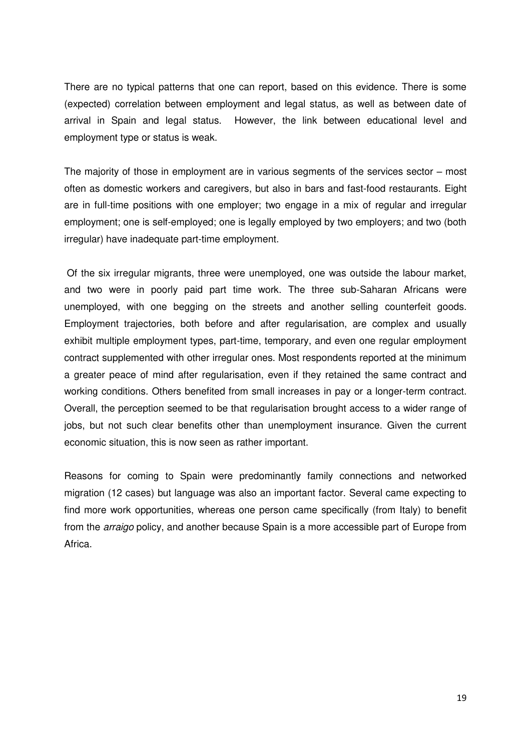There are no typical patterns that one can report, based on this evidence. There is some (expected) correlation between employment and legal status, as well as between date of arrival in Spain and legal status. However, the link between educational level and employment type or status is weak.

The majority of those in employment are in various segments of the services sector – most often as domestic workers and caregivers, but also in bars and fast-food restaurants. Eight are in full-time positions with one employer; two engage in a mix of regular and irregular employment; one is self-employed; one is legally employed by two employers; and two (both irregular) have inadequate part-time employment.

 Of the six irregular migrants, three were unemployed, one was outside the labour market, and two were in poorly paid part time work. The three sub-Saharan Africans were unemployed, with one begging on the streets and another selling counterfeit goods. Employment trajectories, both before and after regularisation, are complex and usually exhibit multiple employment types, part-time, temporary, and even one regular employment contract supplemented with other irregular ones. Most respondents reported at the minimum a greater peace of mind after regularisation, even if they retained the same contract and working conditions. Others benefited from small increases in pay or a longer-term contract. Overall, the perception seemed to be that regularisation brought access to a wider range of jobs, but not such clear benefits other than unemployment insurance. Given the current economic situation, this is now seen as rather important.

Reasons for coming to Spain were predominantly family connections and networked migration (12 cases) but language was also an important factor. Several came expecting to find more work opportunities, whereas one person came specifically (from Italy) to benefit from the *arraigo* policy, and another because Spain is a more accessible part of Europe from Africa.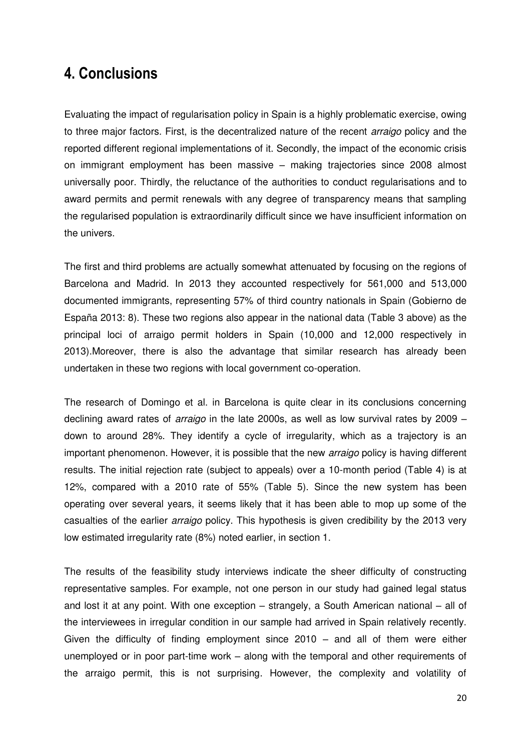## **4. Conclusions**

Evaluating the impact of regularisation policy in Spain is a highly problematic exercise, owing to three major factors. First, is the decentralized nature of the recent *arraigo* policy and the reported different regional implementations of it. Secondly, the impact of the economic crisis on immigrant employment has been massive – making trajectories since 2008 almost universally poor. Thirdly, the reluctance of the authorities to conduct regularisations and to award permits and permit renewals with any degree of transparency means that sampling the regularised population is extraordinarily difficult since we have insufficient information on the univers.

The first and third problems are actually somewhat attenuated by focusing on the regions of Barcelona and Madrid. In 2013 they accounted respectively for 561,000 and 513,000 documented immigrants, representing 57% of third country nationals in Spain (Gobierno de España 2013: 8). These two regions also appear in the national data (Table 3 above) as the principal loci of arraigo permit holders in Spain (10,000 and 12,000 respectively in 2013).Moreover, there is also the advantage that similar research has already been undertaken in these two regions with local government co-operation.

The research of Domingo et al. in Barcelona is quite clear in its conclusions concerning declining award rates of *arraigo* in the late 2000s, as well as low survival rates by 2009 – down to around 28%. They identify a cycle of irregularity, which as a trajectory is an important phenomenon. However, it is possible that the new *arraigo* policy is having different results. The initial rejection rate (subject to appeals) over a 10-month period (Table 4) is at 12%, compared with a 2010 rate of 55% (Table 5). Since the new system has been operating over several years, it seems likely that it has been able to mop up some of the casualties of the earlier *arraigo* policy. This hypothesis is given credibility by the 2013 very low estimated irregularity rate (8%) noted earlier, in section 1.

The results of the feasibility study interviews indicate the sheer difficulty of constructing representative samples. For example, not one person in our study had gained legal status and lost it at any point. With one exception – strangely, a South American national – all of the interviewees in irregular condition in our sample had arrived in Spain relatively recently. Given the difficulty of finding employment since 2010 – and all of them were either unemployed or in poor part-time work – along with the temporal and other requirements of the arraigo permit, this is not surprising. However, the complexity and volatility of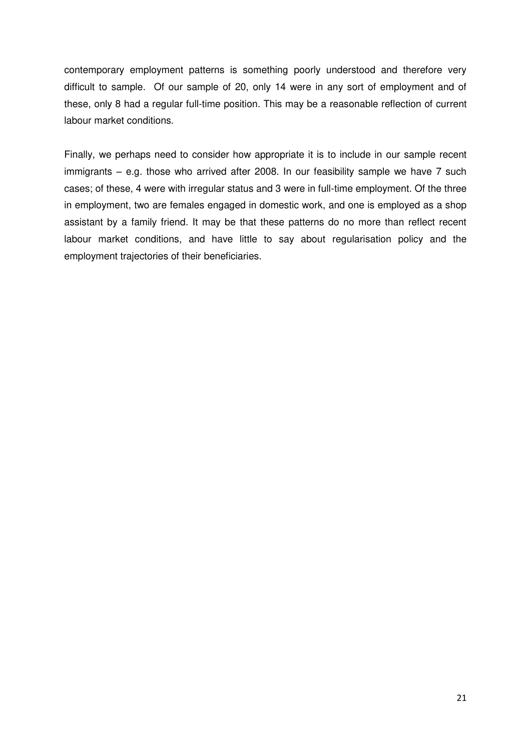contemporary employment patterns is something poorly understood and therefore very difficult to sample. Of our sample of 20, only 14 were in any sort of employment and of these, only 8 had a regular full-time position. This may be a reasonable reflection of current labour market conditions.

Finally, we perhaps need to consider how appropriate it is to include in our sample recent immigrants – e.g. those who arrived after 2008. In our feasibility sample we have 7 such cases; of these, 4 were with irregular status and 3 were in full-time employment. Of the three in employment, two are females engaged in domestic work, and one is employed as a shop assistant by a family friend. It may be that these patterns do no more than reflect recent labour market conditions, and have little to say about regularisation policy and the employment trajectories of their beneficiaries.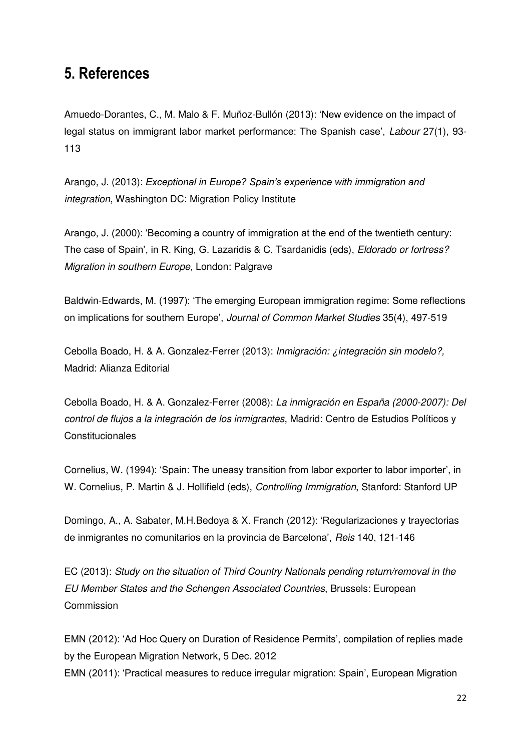## **5. References**

Amuedo-Dorantes, C., M. Malo & F. Muñoz-Bullón (2013): 'New evidence on the impact of legal status on immigrant labor market performance: The Spanish case', *Labour* 27(1), 93- 113

Arango, J. (2013): *Exceptional in Europe? Spain's experience with immigration and integration*, Washington DC: Migration Policy Institute

Arango, J. (2000): 'Becoming a country of immigration at the end of the twentieth century: The case of Spain', in R. King, G. Lazaridis & C. Tsardanidis (eds), *Eldorado or fortress? Migration in southern Europe,* London: Palgrave

Baldwin-Edwards, M. (1997): 'The emerging European immigration regime: Some reflections on implications for southern Europe', *Journal of Common Market Studies* 35(4), 497-519

Cebolla Boado, H. & A. Gonzalez-Ferrer (2013): *Inmigración: ¿integración sin modelo?,* Madrid: Alianza Editorial

Cebolla Boado, H. & A. Gonzalez-Ferrer (2008): *La inmigración en España (2000-2007): Del control de flujos a la integración de los inmigrantes*, Madrid: Centro de Estudios Políticos y **Constitucionales** 

Cornelius, W. (1994): 'Spain: The uneasy transition from labor exporter to labor importer', in W. Cornelius, P. Martin & J. Hollifield (eds), *Controlling Immigration*, Stanford: Stanford UP

Domingo, A., A. Sabater, M.H.Bedoya & X. Franch (2012): 'Regularizaciones y trayectorias de inmigrantes no comunitarios en la provincia de Barcelona', *Reis* 140, 121-146

EC (2013): *Study on the situation of Third Country Nationals pending return/removal in the EU Member States and the Schengen Associated Countries*, Brussels: European Commission

EMN (2012): 'Ad Hoc Query on Duration of Residence Permits', compilation of replies made by the European Migration Network, 5 Dec. 2012 EMN (2011): 'Practical measures to reduce irregular migration: Spain', European Migration